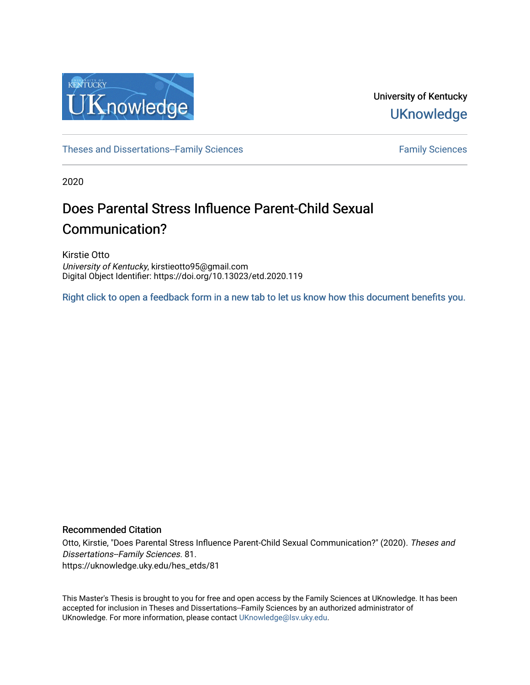

University of Kentucky **UKnowledge** 

[Theses and Dissertations--Family Sciences](https://uknowledge.uky.edu/hes_etds) [Family Sciences](https://uknowledge.uky.edu/hes) Family Sciences

2020

# Does Parental Stress Influence Parent-Child Sexual Communication?

Kirstie Otto University of Kentucky, kirstieotto95@gmail.com Digital Object Identifier: https://doi.org/10.13023/etd.2020.119

[Right click to open a feedback form in a new tab to let us know how this document benefits you.](https://uky.az1.qualtrics.com/jfe/form/SV_9mq8fx2GnONRfz7)

#### Recommended Citation

Otto, Kirstie, "Does Parental Stress Influence Parent-Child Sexual Communication?" (2020). Theses and Dissertations--Family Sciences. 81. https://uknowledge.uky.edu/hes\_etds/81

This Master's Thesis is brought to you for free and open access by the Family Sciences at UKnowledge. It has been accepted for inclusion in Theses and Dissertations--Family Sciences by an authorized administrator of UKnowledge. For more information, please contact [UKnowledge@lsv.uky.edu](mailto:UKnowledge@lsv.uky.edu).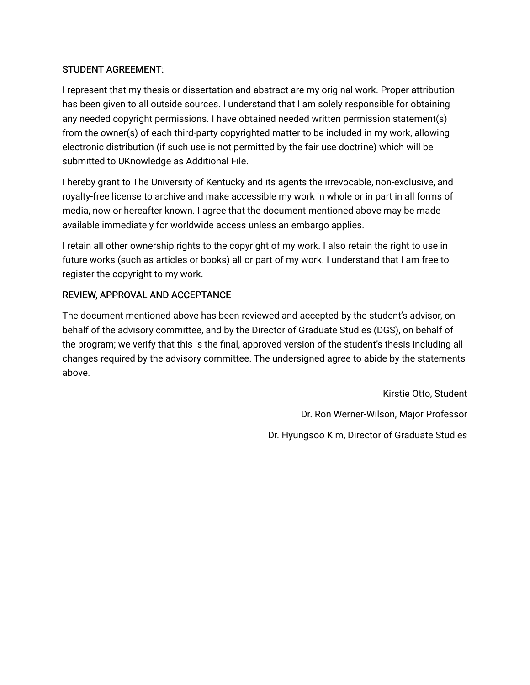## STUDENT AGREEMENT:

I represent that my thesis or dissertation and abstract are my original work. Proper attribution has been given to all outside sources. I understand that I am solely responsible for obtaining any needed copyright permissions. I have obtained needed written permission statement(s) from the owner(s) of each third-party copyrighted matter to be included in my work, allowing electronic distribution (if such use is not permitted by the fair use doctrine) which will be submitted to UKnowledge as Additional File.

I hereby grant to The University of Kentucky and its agents the irrevocable, non-exclusive, and royalty-free license to archive and make accessible my work in whole or in part in all forms of media, now or hereafter known. I agree that the document mentioned above may be made available immediately for worldwide access unless an embargo applies.

I retain all other ownership rights to the copyright of my work. I also retain the right to use in future works (such as articles or books) all or part of my work. I understand that I am free to register the copyright to my work.

## REVIEW, APPROVAL AND ACCEPTANCE

The document mentioned above has been reviewed and accepted by the student's advisor, on behalf of the advisory committee, and by the Director of Graduate Studies (DGS), on behalf of the program; we verify that this is the final, approved version of the student's thesis including all changes required by the advisory committee. The undersigned agree to abide by the statements above.

> Kirstie Otto, Student Dr. Ron Werner-Wilson, Major Professor Dr. Hyungsoo Kim, Director of Graduate Studies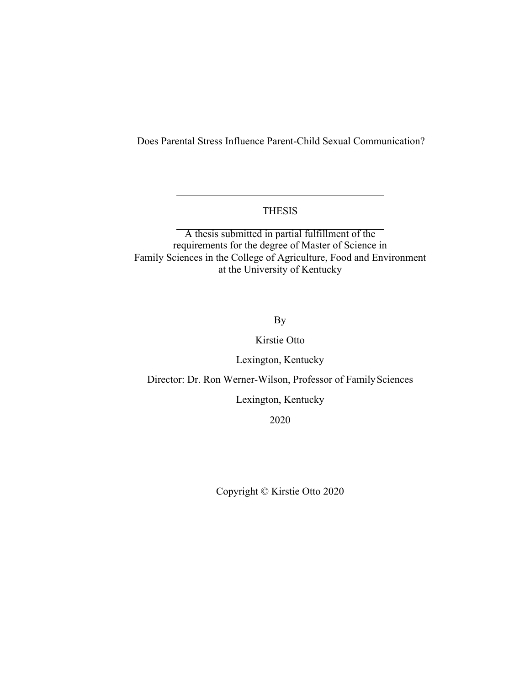Does Parental Stress Influence Parent-Child Sexual Communication?

## THESIS

A thesis submitted in partial fulfillment of the requirements for the degree of Master of Science in Family Sciences in the College of Agriculture, Food and Environment at the University of Kentucky

By

Kirstie Otto

Lexington, Kentucky

Director: Dr. Ron Werner-Wilson, Professor of Family Sciences

Lexington, Kentucky

2020

Copyright © Kirstie Otto 2020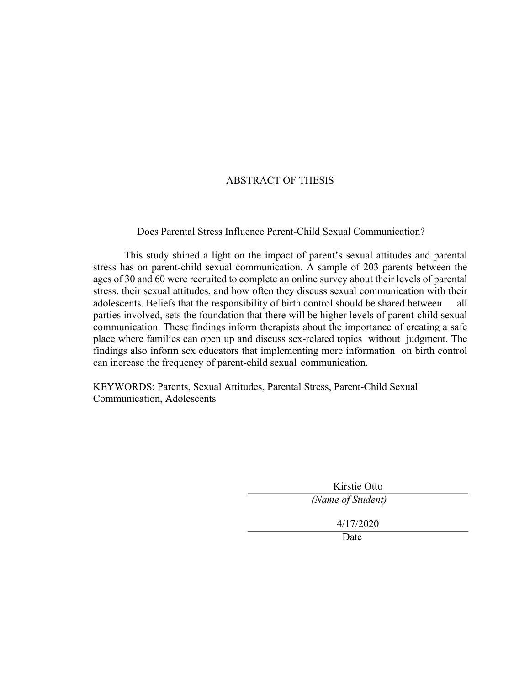## ABSTRACT OF THESIS

Does Parental Stress Influence Parent-Child Sexual Communication?

This study shined a light on the impact of parent's sexual attitudes and parental stress has on parent-child sexual communication. A sample of 203 parents between the ages of 30 and 60 were recruited to complete an online survey about their levels of parental stress, their sexual attitudes, and how often they discuss sexual communication with their adolescents. Beliefs that the responsibility of birth control should be shared between all parties involved, sets the foundation that there will be higher levels of parent-child sexual communication. These findings inform therapists about the importance of creating a safe place where families can open up and discuss sex-related topics without judgment. The findings also inform sex educators that implementing more information on birth control can increase the frequency of parent-child sexual communication.

KEYWORDS: Parents, Sexual Attitudes, Parental Stress, Parent-Child Sexual Communication, Adolescents

> Kirstie Otto *(Name of Student)* 4/17/2020 Date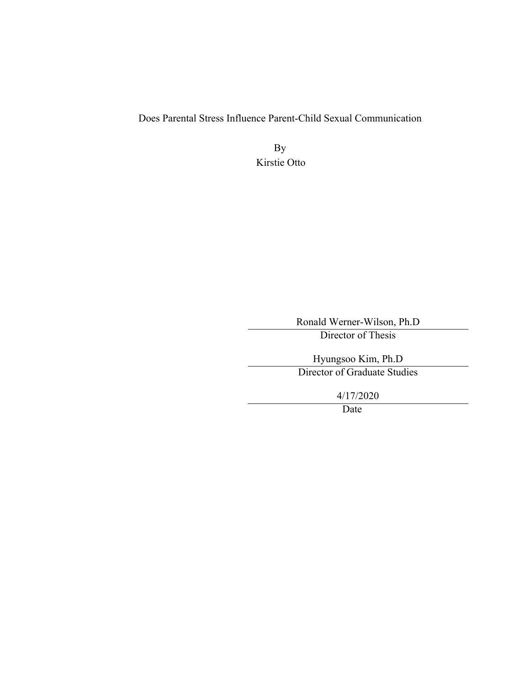Does Parental Stress Influence Parent-Child Sexual Communication

By Kirstie Otto

Ronald Werner-Wilson, Ph.D

Director of Thesis

Hyungsoo Kim, Ph.D Director of Graduate Studies

4/17/2020

Date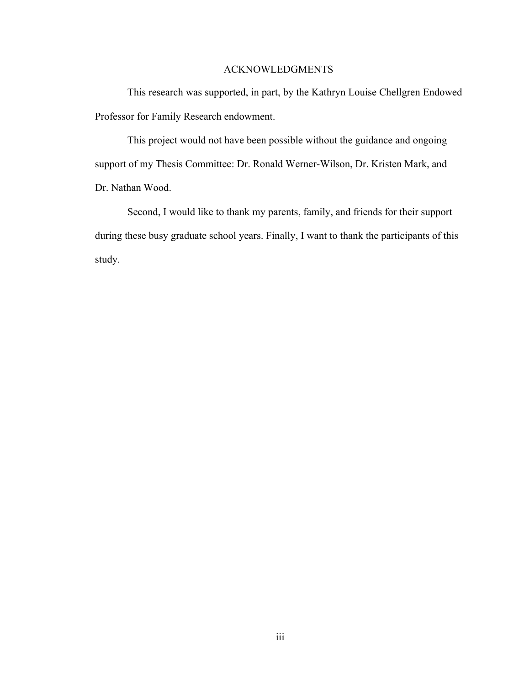#### ACKNOWLEDGMENTS

This research was supported, in part, by the Kathryn Louise Chellgren Endowed Professor for Family Research endowment.

This project would not have been possible without the guidance and ongoing support of my Thesis Committee: Dr. Ronald Werner-Wilson, Dr. Kristen Mark, and Dr. Nathan Wood.

Second, I would like to thank my parents, family, and friends for their support during these busy graduate school years. Finally, I want to thank the participants of this study.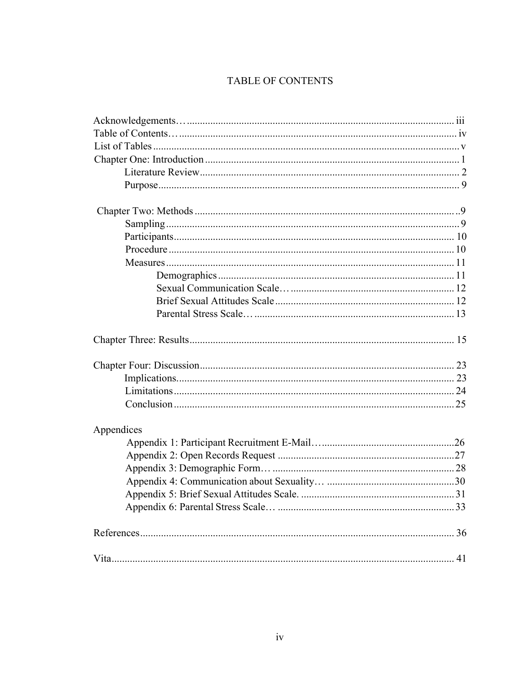## TABLE OF CONTENTS

| Appendices |  |
|------------|--|
|            |  |
|            |  |
|            |  |
|            |  |
|            |  |
|            |  |
|            |  |
|            |  |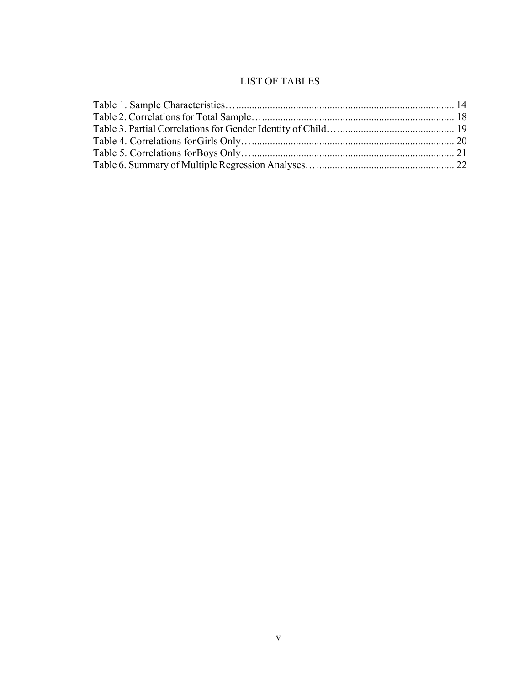## LIST OF TABLES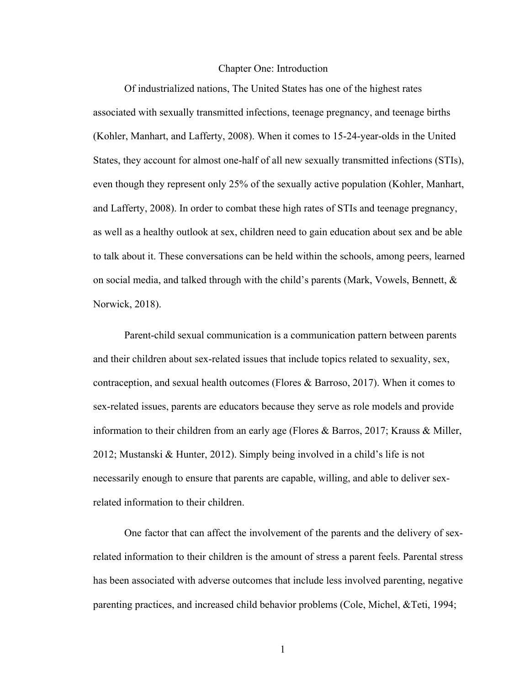#### Chapter One: Introduction

Of industrialized nations, The United States has one of the highest rates associated with sexually transmitted infections, teenage pregnancy, and teenage births (Kohler, Manhart, and Lafferty, 2008). When it comes to 15-24-year-olds in the United States, they account for almost one-half of all new sexually transmitted infections (STIs), even though they represent only 25% of the sexually active population (Kohler, Manhart, and Lafferty, 2008). In order to combat these high rates of STIs and teenage pregnancy, as well as a healthy outlook at sex, children need to gain education about sex and be able to talk about it. These conversations can be held within the schools, among peers, learned on social media, and talked through with the child's parents (Mark, Vowels, Bennett, & Norwick, 2018).

Parent-child sexual communication is a communication pattern between parents and their children about sex-related issues that include topics related to sexuality, sex, contraception, and sexual health outcomes (Flores & Barroso, 2017). When it comes to sex-related issues, parents are educators because they serve as role models and provide information to their children from an early age (Flores & Barros, 2017; Krauss & Miller, 2012; Mustanski & Hunter, 2012). Simply being involved in a child's life is not necessarily enough to ensure that parents are capable, willing, and able to deliver sexrelated information to their children.

One factor that can affect the involvement of the parents and the delivery of sexrelated information to their children is the amount of stress a parent feels. Parental stress has been associated with adverse outcomes that include less involved parenting, negative parenting practices, and increased child behavior problems (Cole, Michel, &Teti, 1994;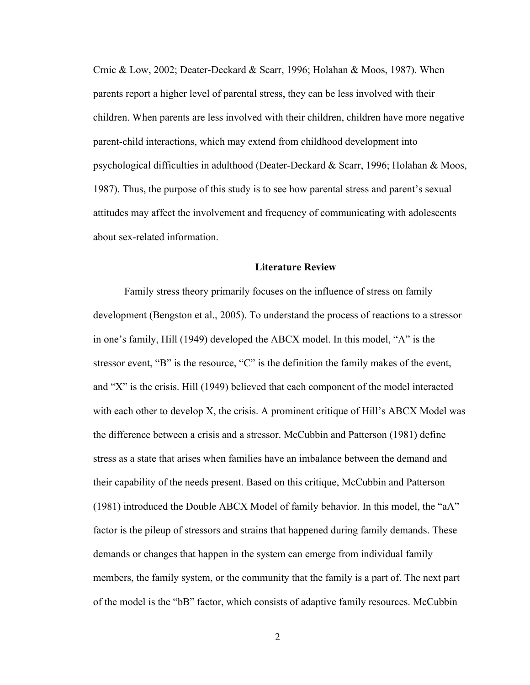Crnic & Low, 2002; Deater-Deckard & Scarr, 1996; Holahan & Moos, 1987). When parents report a higher level of parental stress, they can be less involved with their children. When parents are less involved with their children, children have more negative parent-child interactions, which may extend from childhood development into psychological difficulties in adulthood (Deater-Deckard & Scarr, 1996; Holahan & Moos, 1987). Thus, the purpose of this study is to see how parental stress and parent's sexual attitudes may affect the involvement and frequency of communicating with adolescents about sex-related information.

#### **Literature Review**

Family stress theory primarily focuses on the influence of stress on family development (Bengston et al., 2005). To understand the process of reactions to a stressor in one's family, Hill (1949) developed the ABCX model. In this model, "A" is the stressor event, "B" is the resource, "C" is the definition the family makes of the event, and "X" is the crisis. Hill (1949) believed that each component of the model interacted with each other to develop X, the crisis. A prominent critique of Hill's ABCX Model was the difference between a crisis and a stressor. McCubbin and Patterson (1981) define stress as a state that arises when families have an imbalance between the demand and their capability of the needs present. Based on this critique, McCubbin and Patterson (1981) introduced the Double ABCX Model of family behavior. In this model, the "aA" factor is the pileup of stressors and strains that happened during family demands. These demands or changes that happen in the system can emerge from individual family members, the family system, or the community that the family is a part of. The next part of the model is the "bB" factor, which consists of adaptive family resources. McCubbin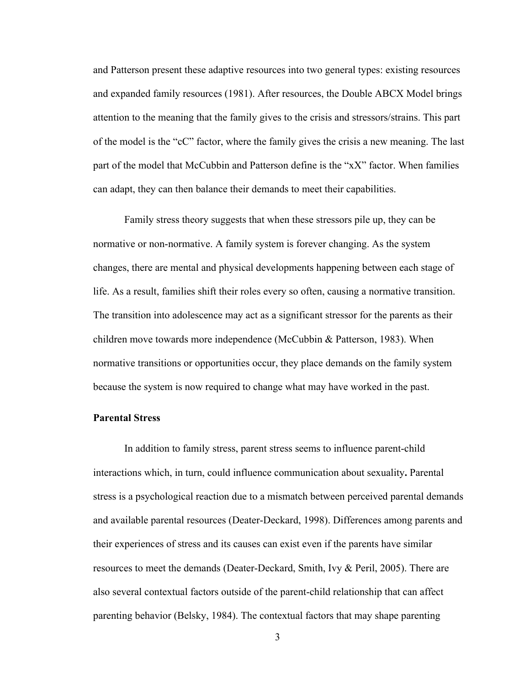and Patterson present these adaptive resources into two general types: existing resources and expanded family resources (1981). After resources, the Double ABCX Model brings attention to the meaning that the family gives to the crisis and stressors/strains. This part of the model is the "cC" factor, where the family gives the crisis a new meaning. The last part of the model that McCubbin and Patterson define is the "xX" factor. When families can adapt, they can then balance their demands to meet their capabilities.

Family stress theory suggests that when these stressors pile up, they can be normative or non-normative. A family system is forever changing. As the system changes, there are mental and physical developments happening between each stage of life. As a result, families shift their roles every so often, causing a normative transition. The transition into adolescence may act as a significant stressor for the parents as their children move towards more independence (McCubbin & Patterson, 1983). When normative transitions or opportunities occur, they place demands on the family system because the system is now required to change what may have worked in the past.

#### **Parental Stress**

In addition to family stress, parent stress seems to influence parent-child interactions which, in turn, could influence communication about sexuality**.** Parental stress is a psychological reaction due to a mismatch between perceived parental demands and available parental resources (Deater-Deckard, 1998). Differences among parents and their experiences of stress and its causes can exist even if the parents have similar resources to meet the demands (Deater-Deckard, Smith, Ivy & Peril, 2005). There are also several contextual factors outside of the parent-child relationship that can affect parenting behavior (Belsky, 1984). The contextual factors that may shape parenting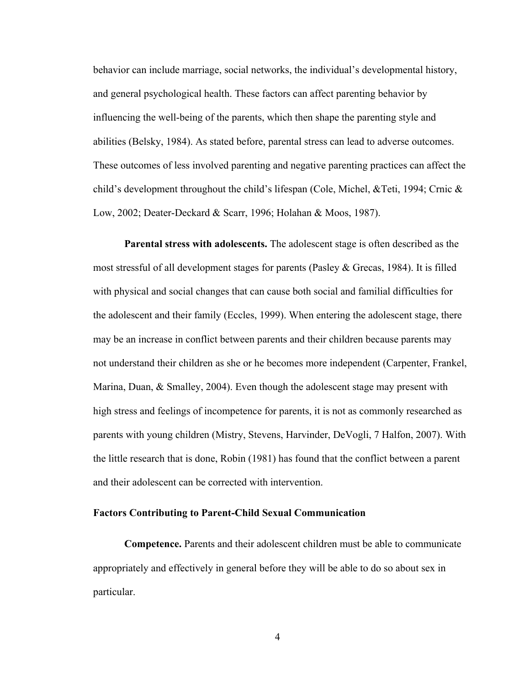behavior can include marriage, social networks, the individual's developmental history, and general psychological health. These factors can affect parenting behavior by influencing the well-being of the parents, which then shape the parenting style and abilities (Belsky, 1984). As stated before, parental stress can lead to adverse outcomes. These outcomes of less involved parenting and negative parenting practices can affect the child's development throughout the child's lifespan (Cole, Michel, &Teti, 1994; Crnic & Low, 2002; Deater-Deckard & Scarr, 1996; Holahan & Moos, 1987).

**Parental stress with adolescents.** The adolescent stage is often described as the most stressful of all development stages for parents (Pasley & Grecas, 1984). It is filled with physical and social changes that can cause both social and familial difficulties for the adolescent and their family (Eccles, 1999). When entering the adolescent stage, there may be an increase in conflict between parents and their children because parents may not understand their children as she or he becomes more independent (Carpenter, Frankel, Marina, Duan, & Smalley, 2004). Even though the adolescent stage may present with high stress and feelings of incompetence for parents, it is not as commonly researched as parents with young children (Mistry, Stevens, Harvinder, DeVogli, 7 Halfon, 2007). With the little research that is done, Robin (1981) has found that the conflict between a parent and their adolescent can be corrected with intervention.

#### **Factors Contributing to Parent-Child Sexual Communication**

**Competence.** Parents and their adolescent children must be able to communicate appropriately and effectively in general before they will be able to do so about sex in particular.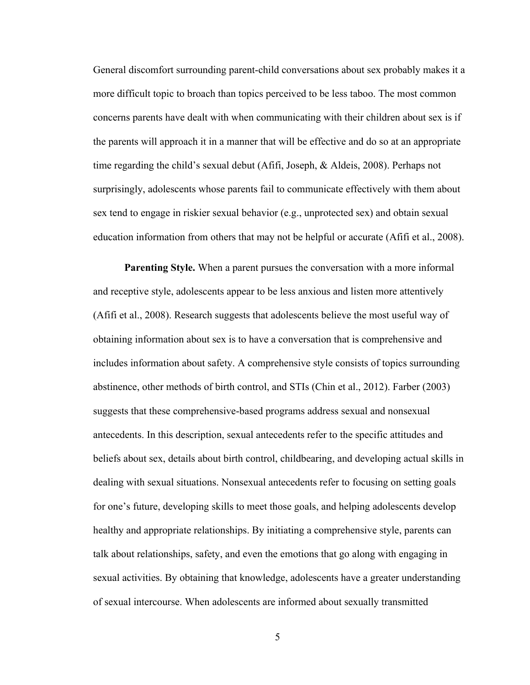General discomfort surrounding parent-child conversations about sex probably makes it a more difficult topic to broach than topics perceived to be less taboo. The most common concerns parents have dealt with when communicating with their children about sex is if the parents will approach it in a manner that will be effective and do so at an appropriate time regarding the child's sexual debut (Afifi, Joseph, & Aldeis, 2008). Perhaps not surprisingly, adolescents whose parents fail to communicate effectively with them about sex tend to engage in riskier sexual behavior (e.g., unprotected sex) and obtain sexual education information from others that may not be helpful or accurate (Afifi et al., 2008).

**Parenting Style.** When a parent pursues the conversation with a more informal and receptive style, adolescents appear to be less anxious and listen more attentively (Afifi et al., 2008). Research suggests that adolescents believe the most useful way of obtaining information about sex is to have a conversation that is comprehensive and includes information about safety. A comprehensive style consists of topics surrounding abstinence, other methods of birth control, and STIs (Chin et al., 2012). Farber (2003) suggests that these comprehensive-based programs address sexual and nonsexual antecedents. In this description, sexual antecedents refer to the specific attitudes and beliefs about sex, details about birth control, childbearing, and developing actual skills in dealing with sexual situations. Nonsexual antecedents refer to focusing on setting goals for one's future, developing skills to meet those goals, and helping adolescents develop healthy and appropriate relationships. By initiating a comprehensive style, parents can talk about relationships, safety, and even the emotions that go along with engaging in sexual activities. By obtaining that knowledge, adolescents have a greater understanding of sexual intercourse. When adolescents are informed about sexually transmitted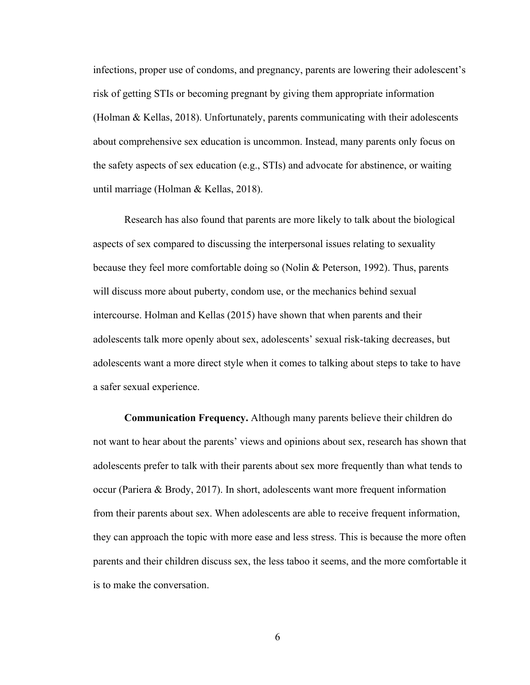infections, proper use of condoms, and pregnancy, parents are lowering their adolescent's risk of getting STIs or becoming pregnant by giving them appropriate information (Holman & Kellas, 2018). Unfortunately, parents communicating with their adolescents about comprehensive sex education is uncommon. Instead, many parents only focus on the safety aspects of sex education (e.g., STIs) and advocate for abstinence, or waiting until marriage (Holman & Kellas, 2018).

Research has also found that parents are more likely to talk about the biological aspects of sex compared to discussing the interpersonal issues relating to sexuality because they feel more comfortable doing so (Nolin & Peterson, 1992). Thus, parents will discuss more about puberty, condom use, or the mechanics behind sexual intercourse. Holman and Kellas (2015) have shown that when parents and their adolescents talk more openly about sex, adolescents' sexual risk-taking decreases, but adolescents want a more direct style when it comes to talking about steps to take to have a safer sexual experience.

**Communication Frequency.** Although many parents believe their children do not want to hear about the parents' views and opinions about sex, research has shown that adolescents prefer to talk with their parents about sex more frequently than what tends to occur (Pariera & Brody, 2017). In short, adolescents want more frequent information from their parents about sex. When adolescents are able to receive frequent information, they can approach the topic with more ease and less stress. This is because the more often parents and their children discuss sex, the less taboo it seems, and the more comfortable it is to make the conversation.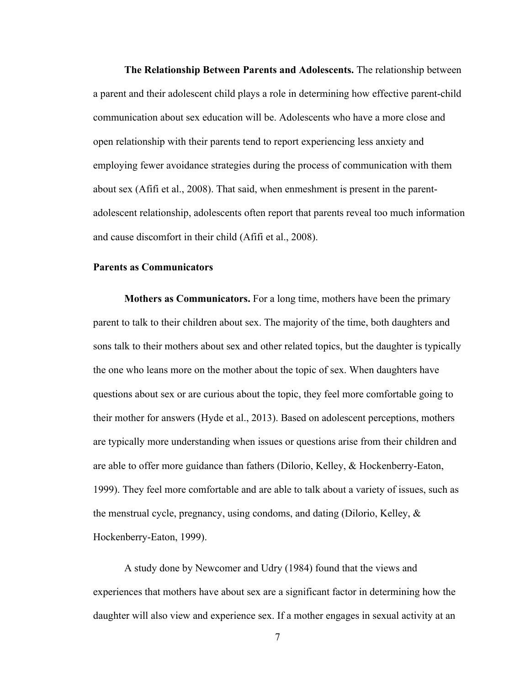**The Relationship Between Parents and Adolescents.** The relationship between a parent and their adolescent child plays a role in determining how effective parent-child communication about sex education will be. Adolescents who have a more close and open relationship with their parents tend to report experiencing less anxiety and employing fewer avoidance strategies during the process of communication with them about sex (Afifi et al., 2008). That said, when enmeshment is present in the parentadolescent relationship, adolescents often report that parents reveal too much information and cause discomfort in their child (Afifi et al., 2008).

#### **Parents as Communicators**

**Mothers as Communicators.** For a long time, mothers have been the primary parent to talk to their children about sex. The majority of the time, both daughters and sons talk to their mothers about sex and other related topics, but the daughter is typically the one who leans more on the mother about the topic of sex. When daughters have questions about sex or are curious about the topic, they feel more comfortable going to their mother for answers (Hyde et al., 2013). Based on adolescent perceptions, mothers are typically more understanding when issues or questions arise from their children and are able to offer more guidance than fathers (Dilorio, Kelley, & Hockenberry-Eaton, 1999). They feel more comfortable and are able to talk about a variety of issues, such as the menstrual cycle, pregnancy, using condoms, and dating (Dilorio, Kelley, & Hockenberry-Eaton, 1999).

A study done by Newcomer and Udry (1984) found that the views and experiences that mothers have about sex are a significant factor in determining how the daughter will also view and experience sex. If a mother engages in sexual activity at an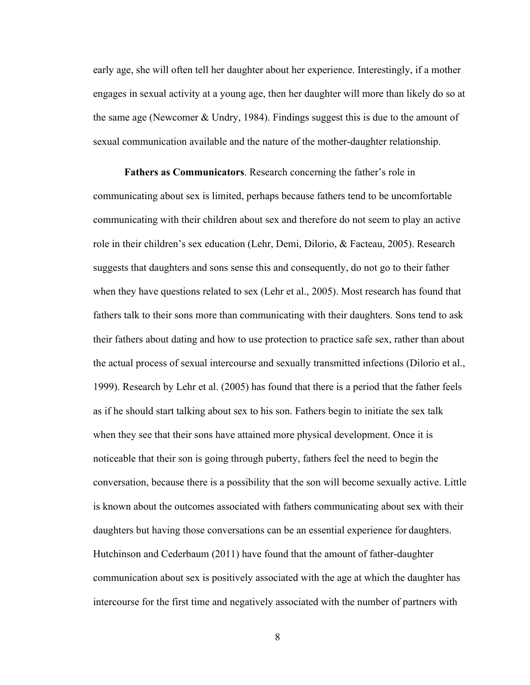early age, she will often tell her daughter about her experience. Interestingly, if a mother engages in sexual activity at a young age, then her daughter will more than likely do so at the same age (Newcomer & Undry, 1984). Findings suggest this is due to the amount of sexual communication available and the nature of the mother-daughter relationship.

**Fathers as Communicators**. Research concerning the father's role in communicating about sex is limited, perhaps because fathers tend to be uncomfortable communicating with their children about sex and therefore do not seem to play an active role in their children's sex education (Lehr, Demi, Dilorio, & Facteau, 2005). Research suggests that daughters and sons sense this and consequently, do not go to their father when they have questions related to sex (Lehr et al., 2005). Most research has found that fathers talk to their sons more than communicating with their daughters. Sons tend to ask their fathers about dating and how to use protection to practice safe sex, rather than about the actual process of sexual intercourse and sexually transmitted infections (Dilorio et al., 1999). Research by Lehr et al. (2005) has found that there is a period that the father feels as if he should start talking about sex to his son. Fathers begin to initiate the sex talk when they see that their sons have attained more physical development. Once it is noticeable that their son is going through puberty, fathers feel the need to begin the conversation, because there is a possibility that the son will become sexually active. Little is known about the outcomes associated with fathers communicating about sex with their daughters but having those conversations can be an essential experience for daughters. Hutchinson and Cederbaum (2011) have found that the amount of father-daughter communication about sex is positively associated with the age at which the daughter has intercourse for the first time and negatively associated with the number of partners with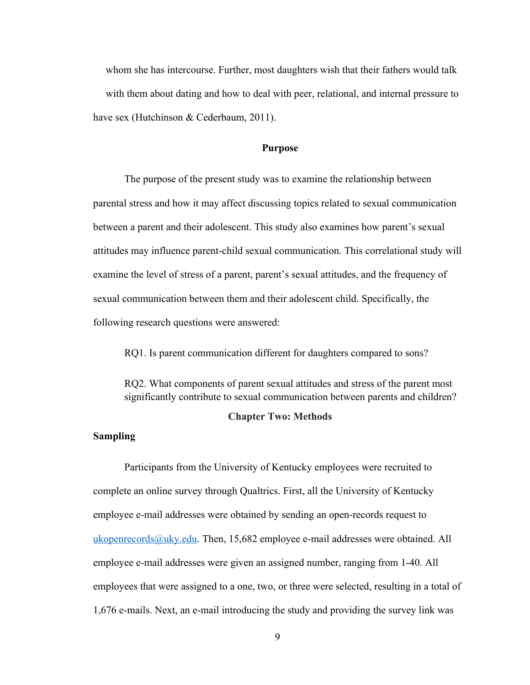whom she has intercourse. Further, most daughters wish that their fathers would talk with them about dating and how to deal with peer, relational, and internal pressure to have sex (Hutchinson & Cederbaum, 2011).

#### **Purpose**

The purpose of the present study was to examine the relationship between parental stress and how it may affect discussing topics related to sexual communication between a parent and their adolescent. This study also examines how parent's sexual attitudes may influence parent-child sexual communication. This correlational study will examine the level of stress of a parent, parent's sexual attitudes, and the frequency of sexual communication between them and their adolescent child. Specifically, the following research questions were answered:

RQ1. Is parent communication different for daughters compared to sons?

RQ2. What components of parent sexual attitudes and stress of the parent most significantly contribute to sexual communication between parents and children?

#### **Chapter Two: Methods**

#### **Sampling**

Participants from the University of Kentucky employees were recruited to complete an online survey through Qualtrics. First, all the University of Kentucky employee e-mail addresses were obtained by sending an open-records request to ukopenrecords@uky.edu. Then, 15,682 employee e-mail addresses were obtained. All employee e-mail addresses were given an assigned number, ranging from 1-40. All employees that were assigned to a one, two, or three were selected, resulting in a total of 1,676 e-mails. Next, an e-mail introducing the study and providing the survey link was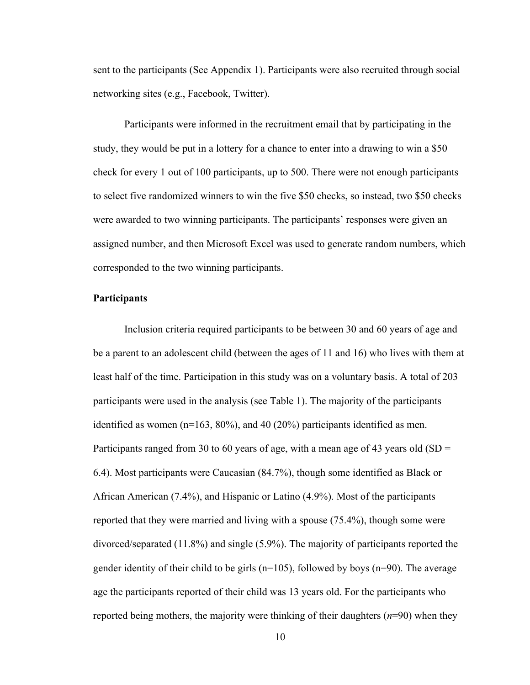sent to the participants (See Appendix 1). Participants were also recruited through social networking sites (e.g., Facebook, Twitter).

Participants were informed in the recruitment email that by participating in the study, they would be put in a lottery for a chance to enter into a drawing to win a \$50 check for every 1 out of 100 participants, up to 500. There were not enough participants to select five randomized winners to win the five \$50 checks, so instead, two \$50 checks were awarded to two winning participants. The participants' responses were given an assigned number, and then Microsoft Excel was used to generate random numbers, which corresponded to the two winning participants.

#### **Participants**

Inclusion criteria required participants to be between 30 and 60 years of age and be a parent to an adolescent child (between the ages of 11 and 16) who lives with them at least half of the time. Participation in this study was on a voluntary basis. A total of 203 participants were used in the analysis (see Table 1). The majority of the participants identified as women (n=163, 80%), and 40 (20%) participants identified as men. Participants ranged from 30 to 60 years of age, with a mean age of 43 years old (SD  $=$ 6.4). Most participants were Caucasian (84.7%), though some identified as Black or African American (7.4%), and Hispanic or Latino (4.9%). Most of the participants reported that they were married and living with a spouse (75.4%), though some were divorced/separated (11.8%) and single (5.9%). The majority of participants reported the gender identity of their child to be girls  $(n=105)$ , followed by boys  $(n=90)$ . The average age the participants reported of their child was 13 years old. For the participants who reported being mothers, the majority were thinking of their daughters (*n*=90) when they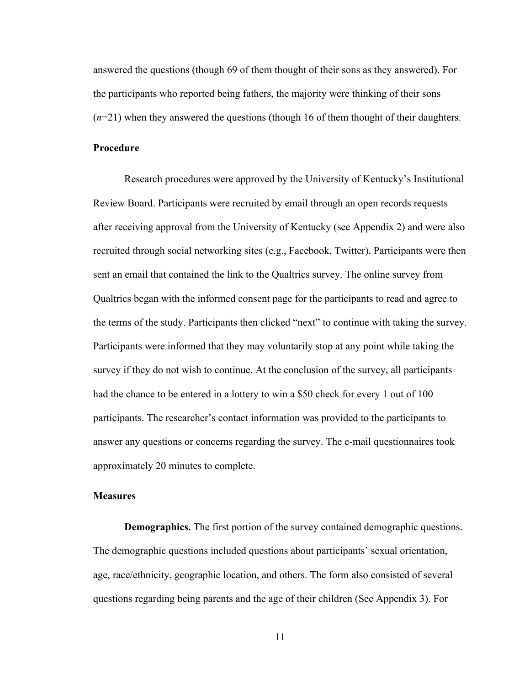answered the questions (though 69 of them thought of their sons as they answered). For the participants who reported being fathers, the majority were thinking of their sons (*n*=21) when they answered the questions (though 16 of them thought of their daughters.

#### **Procedure**

Research procedures were approved by the University of Kentucky's Institutional Review Board. Participants were recruited by email through an open records requests after receiving approval from the University of Kentucky (see Appendix 2) and were also recruited through social networking sites (e.g., Facebook, Twitter). Participants were then sent an email that contained the link to the Qualtrics survey. The online survey from Qualtrics began with the informed consent page for the participants to read and agree to the terms of the study. Participants then clicked "next" to continue with taking the survey. Participants were informed that they may voluntarily stop at any point while taking the survey if they do not wish to continue. At the conclusion of the survey, all participants had the chance to be entered in a lottery to win a \$50 check for every 1 out of 100 participants. The researcher's contact information was provided to the participants to answer any questions or concerns regarding the survey. The e-mail questionnaires took approximately 20 minutes to complete.

#### **Measures**

**Demographics.** The first portion of the survey contained demographic questions. The demographic questions included questions about participants' sexual orientation, age, race/ethnicity, geographic location, and others. The form also consisted of several questions regarding being parents and the age of their children (See Appendix 3). For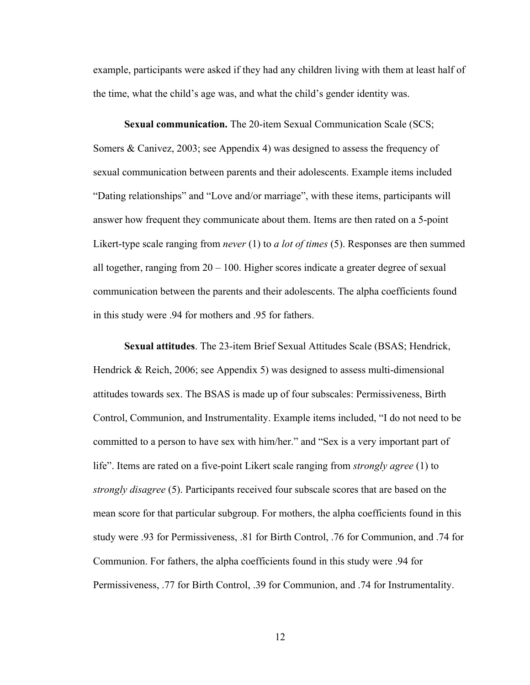example, participants were asked if they had any children living with them at least half of the time, what the child's age was, and what the child's gender identity was.

**Sexual communication.** The 20-item Sexual Communication Scale (SCS; Somers & Canivez, 2003; see Appendix 4) was designed to assess the frequency of sexual communication between parents and their adolescents. Example items included "Dating relationships" and "Love and/or marriage", with these items, participants will answer how frequent they communicate about them. Items are then rated on a 5-point Likert-type scale ranging from *never* (1) to *a lot of times* (5). Responses are then summed all together, ranging from  $20 - 100$ . Higher scores indicate a greater degree of sexual communication between the parents and their adolescents. The alpha coefficients found in this study were .94 for mothers and .95 for fathers.

**Sexual attitudes**. The 23-item Brief Sexual Attitudes Scale (BSAS; Hendrick, Hendrick & Reich, 2006; see Appendix 5) was designed to assess multi-dimensional attitudes towards sex. The BSAS is made up of four subscales: Permissiveness, Birth Control, Communion, and Instrumentality. Example items included, "I do not need to be committed to a person to have sex with him/her." and "Sex is a very important part of life". Items are rated on a five-point Likert scale ranging from *strongly agree* (1) to *strongly disagree* (5). Participants received four subscale scores that are based on the mean score for that particular subgroup. For mothers, the alpha coefficients found in this study were .93 for Permissiveness, .81 for Birth Control, .76 for Communion, and .74 for Communion. For fathers, the alpha coefficients found in this study were .94 for Permissiveness, .77 for Birth Control, .39 for Communion, and .74 for Instrumentality.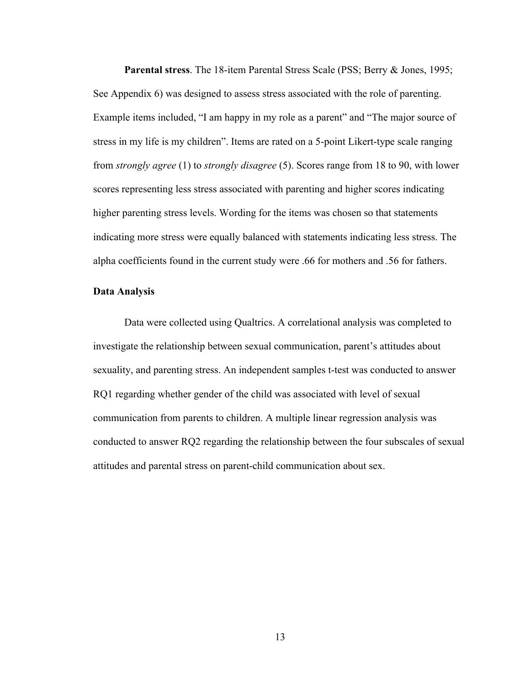**Parental stress**. The 18-item Parental Stress Scale (PSS; Berry & Jones, 1995; See Appendix 6) was designed to assess stress associated with the role of parenting. Example items included, "I am happy in my role as a parent" and "The major source of stress in my life is my children". Items are rated on a 5-point Likert-type scale ranging from *strongly agree* (1) to *strongly disagree* (5). Scores range from 18 to 90, with lower scores representing less stress associated with parenting and higher scores indicating higher parenting stress levels. Wording for the items was chosen so that statements indicating more stress were equally balanced with statements indicating less stress. The alpha coefficients found in the current study were .66 for mothers and .56 for fathers.

#### **Data Analysis**

Data were collected using Qualtrics. A correlational analysis was completed to investigate the relationship between sexual communication, parent's attitudes about sexuality, and parenting stress. An independent samples t-test was conducted to answer RQ1 regarding whether gender of the child was associated with level of sexual communication from parents to children. A multiple linear regression analysis was conducted to answer RQ2 regarding the relationship between the four subscales of sexual attitudes and parental stress on parent-child communication about sex.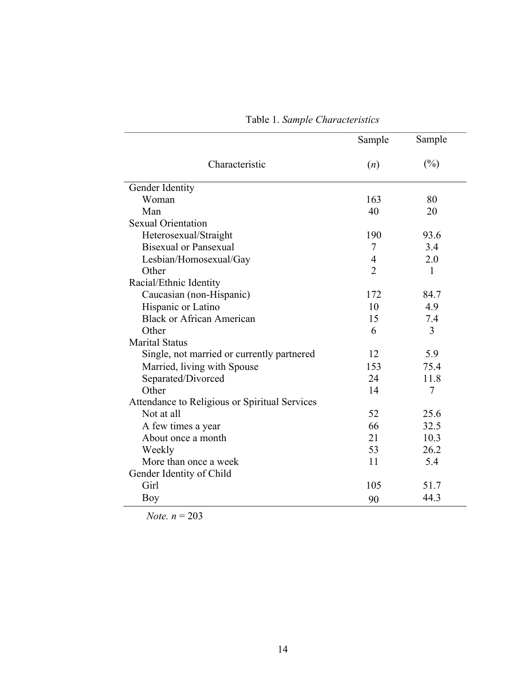|                                               | Sample         | Sample       |
|-----------------------------------------------|----------------|--------------|
| Characteristic                                | (n)            | (%)          |
| Gender Identity                               |                |              |
| Woman                                         | 163            | 80           |
| Man                                           | 40             | 20           |
| <b>Sexual Orientation</b>                     |                |              |
| Heterosexual/Straight                         | 190            | 93.6         |
| <b>Bisexual or Pansexual</b>                  | 7              | 3.4          |
| Lesbian/Homosexual/Gay                        | $\overline{4}$ | 2.0          |
| Other                                         | $\overline{2}$ | $\mathbf{1}$ |
| Racial/Ethnic Identity                        |                |              |
| Caucasian (non-Hispanic)                      | 172            | 84.7         |
| Hispanic or Latino                            | 10             | 4.9          |
| <b>Black or African American</b>              | 15             | 7.4          |
| Other                                         | 6              | 3            |
| <b>Marital Status</b>                         |                |              |
| Single, not married or currently partnered    | 12             | 5.9          |
| Married, living with Spouse                   | 153            | 75.4         |
| Separated/Divorced                            | 24             | 11.8         |
| Other                                         | 14             | 7            |
| Attendance to Religious or Spiritual Services |                |              |
| Not at all                                    | 52             | 25.6         |
| A few times a year                            | 66             | 32.5         |
| About once a month                            | 21             | 10.3         |
| Weekly                                        | 53             | 26.2         |
| More than once a week                         | 11             | 5.4          |
| Gender Identity of Child                      |                |              |
| Girl                                          | 105            | 51.7         |
| Boy                                           | 90             | 44.3         |

Table 1. *Sample Characteristics*

*Note. n* = 203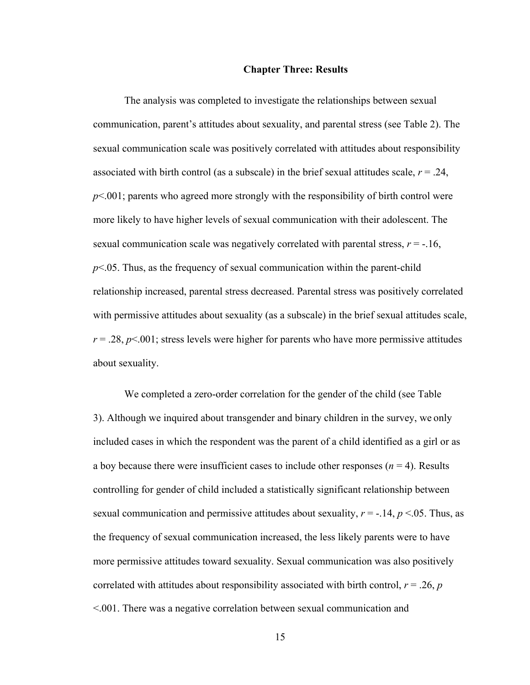#### **Chapter Three: Results**

The analysis was completed to investigate the relationships between sexual communication, parent's attitudes about sexuality, and parental stress (see Table 2). The sexual communication scale was positively correlated with attitudes about responsibility associated with birth control (as a subscale) in the brief sexual attitudes scale,  $r = .24$ , *p*<.001; parents who agreed more strongly with the responsibility of birth control were more likely to have higher levels of sexual communication with their adolescent. The sexual communication scale was negatively correlated with parental stress,  $r = -16$ , *p*<.05. Thus, as the frequency of sexual communication within the parent-child relationship increased, parental stress decreased. Parental stress was positively correlated with permissive attitudes about sexuality (as a subscale) in the brief sexual attitudes scale,  $r = 0.28$ ,  $p \le 0.001$ ; stress levels were higher for parents who have more permissive attitudes about sexuality.

We completed a zero-order correlation for the gender of the child (see Table 3). Although we inquired about transgender and binary children in the survey, we only included cases in which the respondent was the parent of a child identified as a girl or as a boy because there were insufficient cases to include other responses  $(n = 4)$ . Results controlling for gender of child included a statistically significant relationship between sexual communication and permissive attitudes about sexuality,  $r = -.14$ ,  $p < 0.05$ . Thus, as the frequency of sexual communication increased, the less likely parents were to have more permissive attitudes toward sexuality. Sexual communication was also positively correlated with attitudes about responsibility associated with birth control,  $r = .26$ ,  $p$ <.001. There was a negative correlation between sexual communication and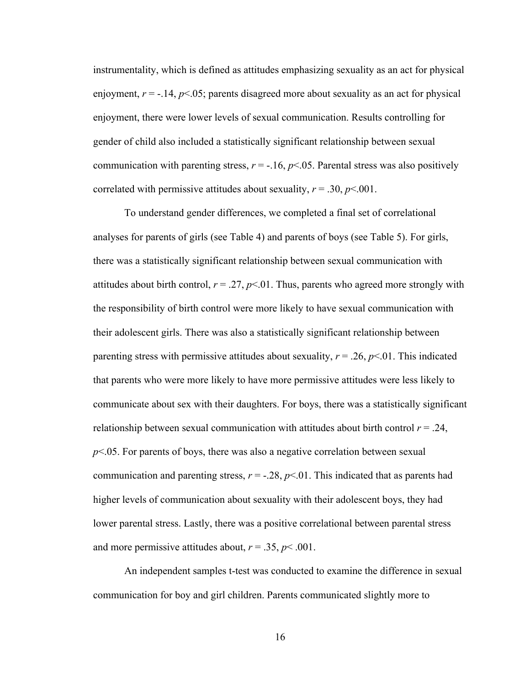instrumentality, which is defined as attitudes emphasizing sexuality as an act for physical enjoyment,  $r = -.14$ ,  $p < .05$ ; parents disagreed more about sexuality as an act for physical enjoyment, there were lower levels of sexual communication. Results controlling for gender of child also included a statistically significant relationship between sexual communication with parenting stress,  $r = -.16$ ,  $p < .05$ . Parental stress was also positively correlated with permissive attitudes about sexuality,  $r = .30$ ,  $p < .001$ .

To understand gender differences, we completed a final set of correlational analyses for parents of girls (see Table 4) and parents of boys (see Table 5). For girls, there was a statistically significant relationship between sexual communication with attitudes about birth control,  $r = .27$ ,  $p < .01$ . Thus, parents who agreed more strongly with the responsibility of birth control were more likely to have sexual communication with their adolescent girls. There was also a statistically significant relationship between parenting stress with permissive attitudes about sexuality,  $r = .26$ ,  $p < .01$ . This indicated that parents who were more likely to have more permissive attitudes were less likely to communicate about sex with their daughters. For boys, there was a statistically significant relationship between sexual communication with attitudes about birth control  $r = .24$ , *p*<.05. For parents of boys, there was also a negative correlation between sexual communication and parenting stress,  $r = -.28$ ,  $p < .01$ . This indicated that as parents had higher levels of communication about sexuality with their adolescent boys, they had lower parental stress. Lastly, there was a positive correlational between parental stress and more permissive attitudes about,  $r = .35$ ,  $p < .001$ .

An independent samples t-test was conducted to examine the difference in sexual communication for boy and girl children. Parents communicated slightly more to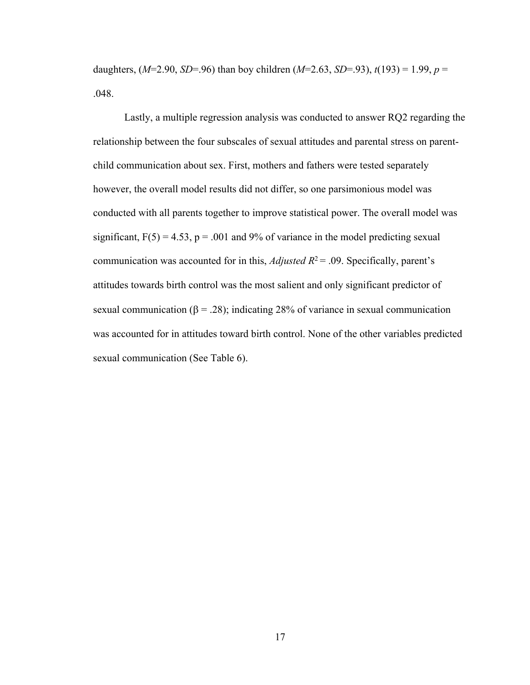daughters, (*M*=2.90, *SD*=.96) than boy children (*M*=2.63, *SD*=.93), *t*(193) = 1.99, *p* = .048.

Lastly, a multiple regression analysis was conducted to answer RQ2 regarding the relationship between the four subscales of sexual attitudes and parental stress on parentchild communication about sex. First, mothers and fathers were tested separately however, the overall model results did not differ, so one parsimonious model was conducted with all parents together to improve statistical power. The overall model was significant,  $F(5) = 4.53$ ,  $p = .001$  and 9% of variance in the model predicting sexual communication was accounted for in this, *Adjusted R*<sup>2</sup> = .09. Specifically, parent's attitudes towards birth control was the most salient and only significant predictor of sexual communication ( $\beta = .28$ ); indicating 28% of variance in sexual communication was accounted for in attitudes toward birth control. None of the other variables predicted sexual communication (See Table 6).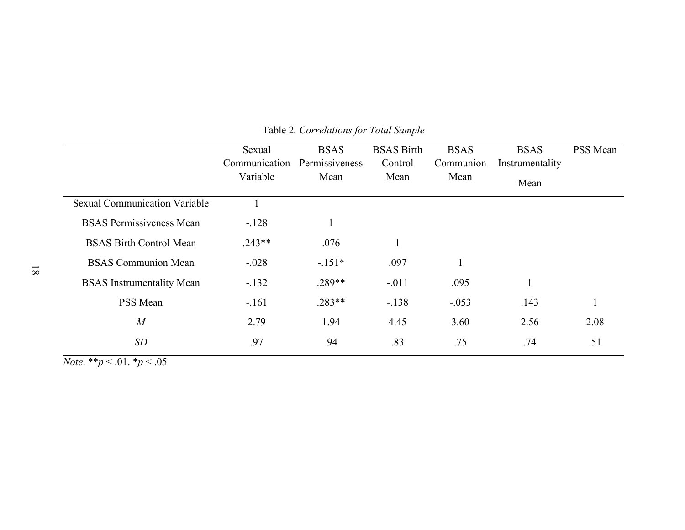|                                  | Sexual        | <b>BSAS</b>    | <b>BSAS</b> Birth | <b>BSAS</b> | <b>BSAS</b>     | PSS Mean |
|----------------------------------|---------------|----------------|-------------------|-------------|-----------------|----------|
|                                  | Communication | Permissiveness | Control           | Communion   | Instrumentality |          |
|                                  | Variable      | Mean           | Mean              | Mean        | Mean            |          |
| Sexual Communication Variable    |               |                |                   |             |                 |          |
| <b>BSAS Permissiveness Mean</b>  | $-.128$       | 1              |                   |             |                 |          |
| <b>BSAS Birth Control Mean</b>   | $.243**$      | .076           |                   |             |                 |          |
| <b>BSAS Communion Mean</b>       | $-.028$       | $-.151*$       | .097              |             |                 |          |
| <b>BSAS</b> Instrumentality Mean | $-.132$       | $.289**$       | $-.011$           | .095        | 1               |          |
| PSS Mean                         | $-.161$       | $.283**$       | $-.138$           | $-.053$     | .143            |          |
| $\overline{M}$                   | 2.79          | 1.94           | 4.45              | 3.60        | 2.56            | 2.08     |
| SD                               | .97           | .94            | .83               | .75         | .74             | .51      |

## Table 2*. Correlations for Total Sample*

*Note*. \*\**p* < .01. \**p* < .05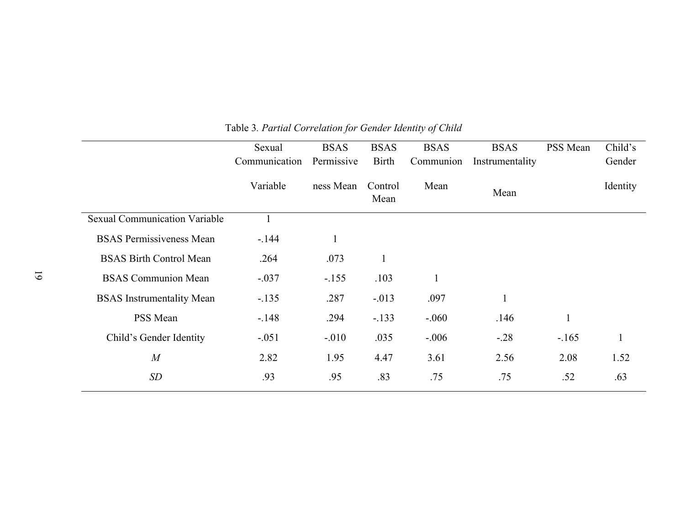|                                      | Sexual        | <b>BSAS</b>  | <b>BSAS</b>     | <b>BSAS</b>  | <b>BSAS</b>     | PSS Mean     | Child's      |
|--------------------------------------|---------------|--------------|-----------------|--------------|-----------------|--------------|--------------|
|                                      | Communication | Permissive   | <b>Birth</b>    | Communion    | Instrumentality |              | Gender       |
|                                      | Variable      | ness Mean    | Control<br>Mean | Mean         | Mean            |              | Identity     |
| <b>Sexual Communication Variable</b> |               |              |                 |              |                 |              |              |
| <b>BSAS Permissiveness Mean</b>      | $-144$        | $\mathbf{1}$ |                 |              |                 |              |              |
| <b>BSAS Birth Control Mean</b>       | .264          | .073         | $\mathbf{1}$    |              |                 |              |              |
| <b>BSAS</b> Communion Mean           | $-.037$       | $-.155$      | .103            | $\mathbf{1}$ |                 |              |              |
| <b>BSAS</b> Instrumentality Mean     | $-.135$       | .287         | $-.013$         | .097         | $\mathbf{1}$    |              |              |
| PSS Mean                             | $-.148$       | .294         | $-.133$         | $-.060$      | .146            | $\mathbf{1}$ |              |
| Child's Gender Identity              | $-.051$       | $-.010$      | .035            | $-.006$      | $-.28$          | $-165$       | $\mathbf{1}$ |
| M                                    | 2.82          | 1.95         | 4.47            | 3.61         | 2.56            | 2.08         | 1.52         |
| SD                                   | .93           | .95          | .83             | .75          | .75             | .52          | .63          |

Table 3*. Partial Correlation for Gender Identity of Child*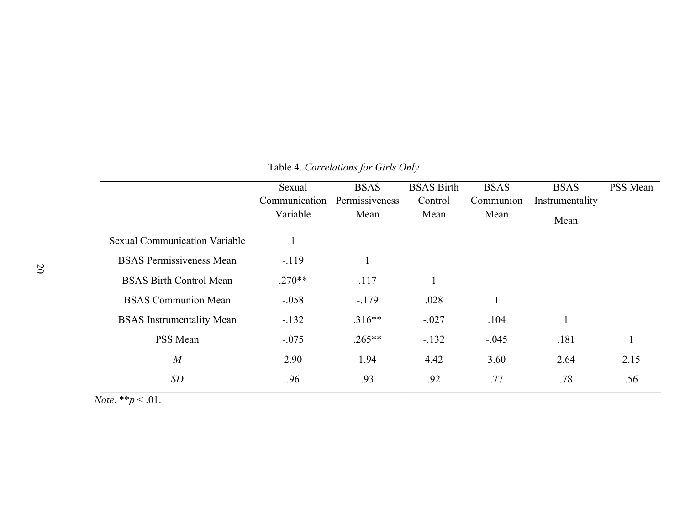|                                      | Sexual<br>Communication<br>Variable | <b>BSAS</b><br>Permissiveness<br>Mean | <b>BSAS Birth</b><br>Control<br>Mean | <b>BSAS</b><br>Communion<br>Mean | <b>BSAS</b><br>Instrumentality<br>Mean | PSS Mean |
|--------------------------------------|-------------------------------------|---------------------------------------|--------------------------------------|----------------------------------|----------------------------------------|----------|
| <b>Sexual Communication Variable</b> |                                     |                                       |                                      |                                  |                                        |          |
| <b>BSAS</b> Permissiveness Mean      | $-.119$                             |                                       |                                      |                                  |                                        |          |
| <b>BSAS Birth Control Mean</b>       | $.270**$                            | .117                                  |                                      |                                  |                                        |          |
| <b>BSAS</b> Communion Mean           | $-.058$                             | $-.179$                               | .028                                 |                                  |                                        |          |
| <b>BSAS</b> Instrumentality Mean     | $-.132$                             | $.316**$                              | $-.027$                              | .104                             |                                        |          |
| PSS Mean                             | $-.075$                             | $.265**$                              | $-.132$                              | $-.045$                          | .181                                   |          |
| $\overline{M}$                       | 2.90                                | 1.94                                  | 4.42                                 | 3.60                             | 2.64                                   | 2.15     |
| <b>SD</b>                            | .96                                 | .93                                   | .92                                  | .77                              | .78                                    | .56      |

## Table 4. *Correlations for Girls Only*

*Note*. \*\**p* < .01.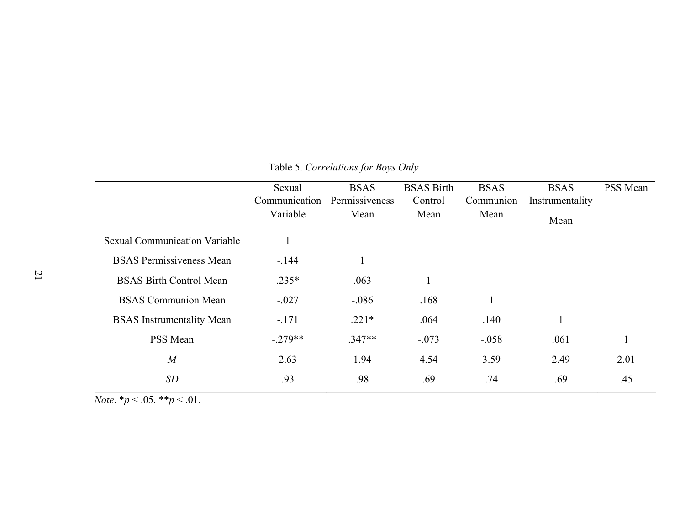|                                      | Sexual<br>Communication<br>Variable | <b>BSAS</b><br>Permissiveness<br>Mean | <b>BSAS</b> Birth<br>Control<br>Mean | <b>BSAS</b><br>Communion<br>Mean | <b>BSAS</b><br>Instrumentality<br>Mean | PSS Mean |
|--------------------------------------|-------------------------------------|---------------------------------------|--------------------------------------|----------------------------------|----------------------------------------|----------|
| <b>Sexual Communication Variable</b> |                                     |                                       |                                      |                                  |                                        |          |
| <b>BSAS Permissiveness Mean</b>      | $-144$                              |                                       |                                      |                                  |                                        |          |
| <b>BSAS Birth Control Mean</b>       | $.235*$                             | .063                                  |                                      |                                  |                                        |          |
| <b>BSAS</b> Communion Mean           | $-.027$                             | $-.086$                               | .168                                 |                                  |                                        |          |
| <b>BSAS</b> Instrumentality Mean     | $-.171$                             | $.221*$                               | .064                                 | .140                             | $\mathbf{1}$                           |          |
| PSS Mean                             | $-.279**$                           | $.347**$                              | $-.073$                              | $-.058$                          | .061                                   |          |
| $\overline{M}$                       | 2.63                                | 1.94                                  | 4.54                                 | 3.59                             | 2.49                                   | 2.01     |
| <b>SD</b>                            | .93                                 | .98                                   | .69                                  | .74                              | .69                                    | .45      |

Table 5. *Correlations for Boys Only*

*Note*.  $*_{p} < .05.$   $*_{p} < .01.$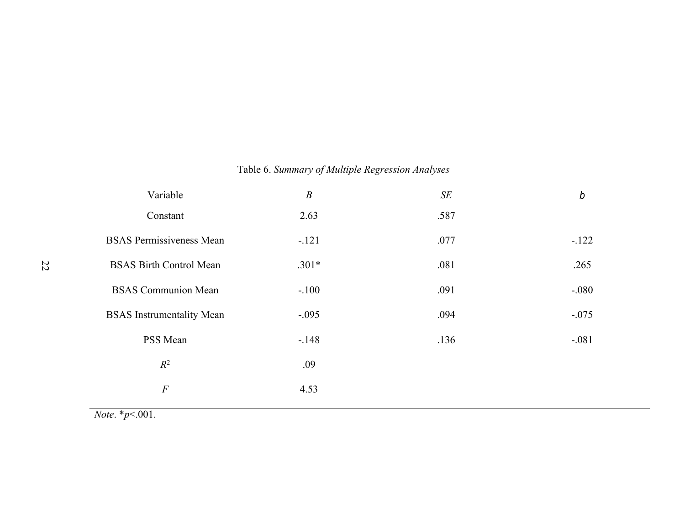| Variable                         | $\boldsymbol{B}$ | SE   | $\boldsymbol{b}$ |
|----------------------------------|------------------|------|------------------|
| Constant                         | 2.63             | .587 |                  |
| <b>BSAS Permissiveness Mean</b>  | $-.121$          | .077 | $-.122$          |
| <b>BSAS Birth Control Mean</b>   | $.301*$          | .081 | .265             |
| <b>BSAS</b> Communion Mean       | $-.100$          | .091 | $-.080$          |
| <b>BSAS</b> Instrumentality Mean | $-.095$          | .094 | $-.075$          |
| PSS Mean                         | $-.148$          | .136 | $-.081$          |
| $R^2$                            | .09              |      |                  |
| $\cal F$                         | 4.53             |      |                  |
|                                  |                  |      |                  |

## Table 6. *Summary of Multiple Regression Analyses*

*Note*. \**p*<.001.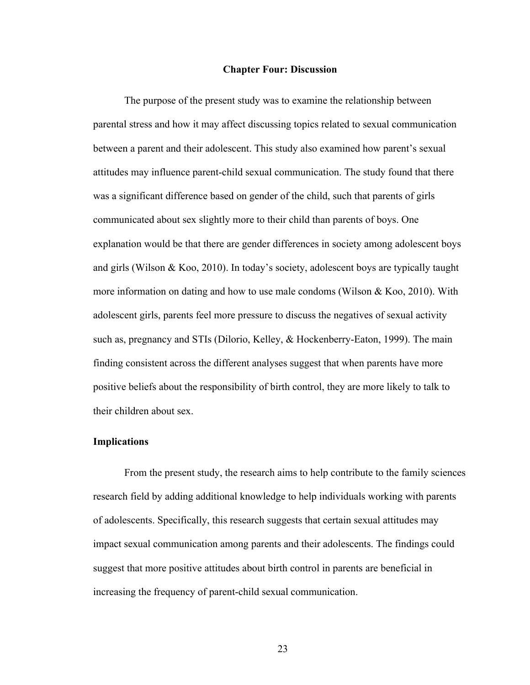#### **Chapter Four: Discussion**

The purpose of the present study was to examine the relationship between parental stress and how it may affect discussing topics related to sexual communication between a parent and their adolescent. This study also examined how parent's sexual attitudes may influence parent-child sexual communication. The study found that there was a significant difference based on gender of the child, such that parents of girls communicated about sex slightly more to their child than parents of boys. One explanation would be that there are gender differences in society among adolescent boys and girls (Wilson & Koo, 2010). In today's society, adolescent boys are typically taught more information on dating and how to use male condoms (Wilson & Koo, 2010). With adolescent girls, parents feel more pressure to discuss the negatives of sexual activity such as, pregnancy and STIs (Dilorio, Kelley, & Hockenberry-Eaton, 1999). The main finding consistent across the different analyses suggest that when parents have more positive beliefs about the responsibility of birth control, they are more likely to talk to their children about sex.

#### **Implications**

From the present study, the research aims to help contribute to the family sciences research field by adding additional knowledge to help individuals working with parents of adolescents. Specifically, this research suggests that certain sexual attitudes may impact sexual communication among parents and their adolescents. The findings could suggest that more positive attitudes about birth control in parents are beneficial in increasing the frequency of parent-child sexual communication.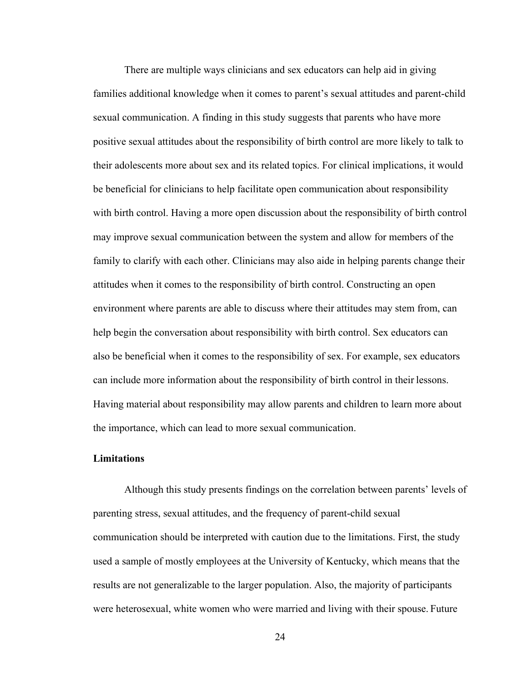There are multiple ways clinicians and sex educators can help aid in giving families additional knowledge when it comes to parent's sexual attitudes and parent-child sexual communication. A finding in this study suggests that parents who have more positive sexual attitudes about the responsibility of birth control are more likely to talk to their adolescents more about sex and its related topics. For clinical implications, it would be beneficial for clinicians to help facilitate open communication about responsibility with birth control. Having a more open discussion about the responsibility of birth control may improve sexual communication between the system and allow for members of the family to clarify with each other. Clinicians may also aide in helping parents change their attitudes when it comes to the responsibility of birth control. Constructing an open environment where parents are able to discuss where their attitudes may stem from, can help begin the conversation about responsibility with birth control. Sex educators can also be beneficial when it comes to the responsibility of sex. For example, sex educators can include more information about the responsibility of birth control in their lessons. Having material about responsibility may allow parents and children to learn more about the importance, which can lead to more sexual communication.

## **Limitations**

Although this study presents findings on the correlation between parents' levels of parenting stress, sexual attitudes, and the frequency of parent-child sexual communication should be interpreted with caution due to the limitations. First, the study used a sample of mostly employees at the University of Kentucky, which means that the results are not generalizable to the larger population. Also, the majority of participants were heterosexual, white women who were married and living with their spouse. Future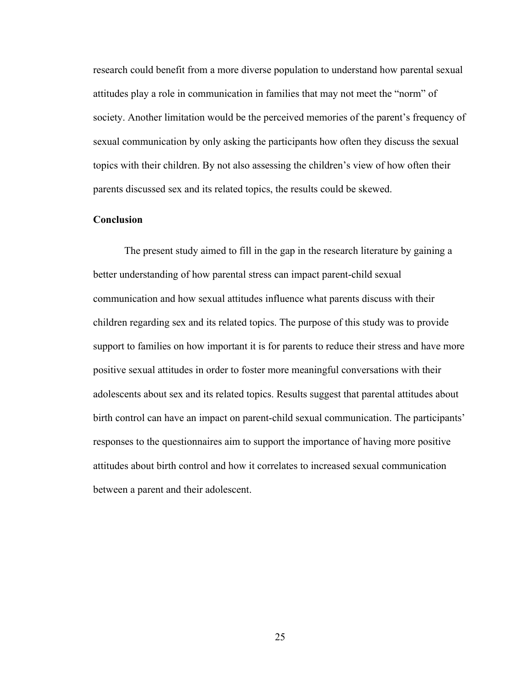research could benefit from a more diverse population to understand how parental sexual attitudes play a role in communication in families that may not meet the "norm" of society. Another limitation would be the perceived memories of the parent's frequency of sexual communication by only asking the participants how often they discuss the sexual topics with their children. By not also assessing the children's view of how often their parents discussed sex and its related topics, the results could be skewed.

#### **Conclusion**

The present study aimed to fill in the gap in the research literature by gaining a better understanding of how parental stress can impact parent-child sexual communication and how sexual attitudes influence what parents discuss with their children regarding sex and its related topics. The purpose of this study was to provide support to families on how important it is for parents to reduce their stress and have more positive sexual attitudes in order to foster more meaningful conversations with their adolescents about sex and its related topics. Results suggest that parental attitudes about birth control can have an impact on parent-child sexual communication. The participants' responses to the questionnaires aim to support the importance of having more positive attitudes about birth control and how it correlates to increased sexual communication between a parent and their adolescent.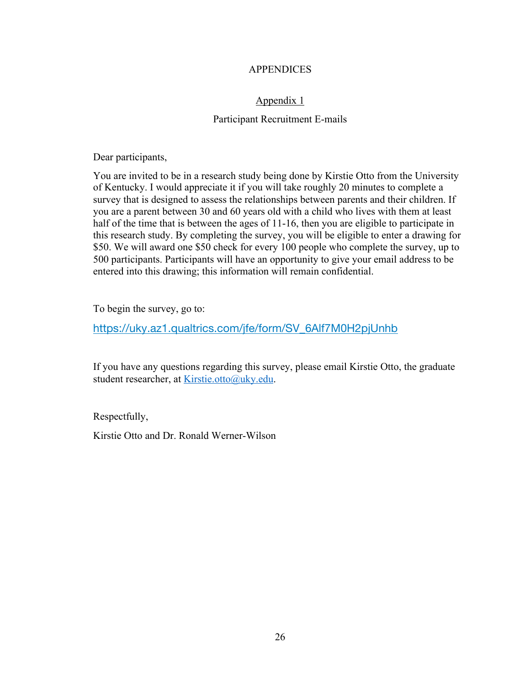## APPENDICES

## Appendix 1

## Participant Recruitment E-mails

Dear participants,

You are invited to be in a research study being done by Kirstie Otto from the University of Kentucky. I would appreciate it if you will take roughly 20 minutes to complete a survey that is designed to assess the relationships between parents and their children. If you are a parent between 30 and 60 years old with a child who lives with them at least half of the time that is between the ages of 11-16, then you are eligible to participate in this research study. By completing the survey, you will be eligible to enter a drawing for \$50. We will award one \$50 check for every 100 people who complete the survey, up to 500 participants. Participants will have an opportunity to give your email address to be entered into this drawing; this information will remain confidential.

To begin the survey, go to:

https://uky.az1.qualtrics.com/jfe/form/SV\_6Alf7M0H2pjUnhb

If you have any questions regarding this survey, please email Kirstie Otto, the graduate student researcher, at Kirstie.otto@uky.edu.

Respectfully,

Kirstie Otto and Dr. Ronald Werner-Wilson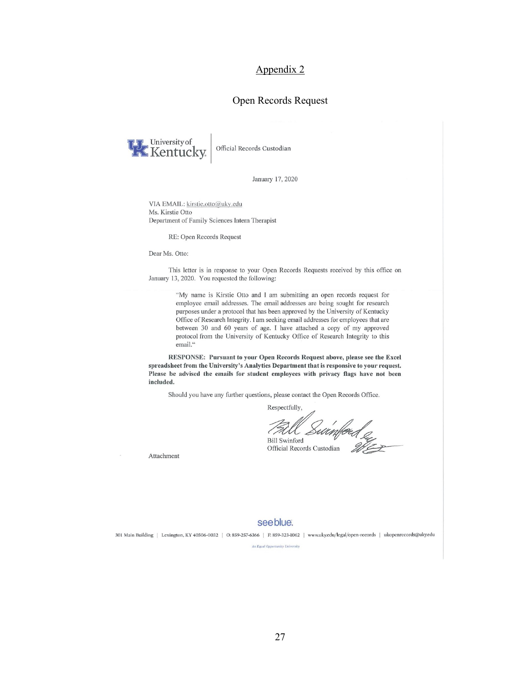#### Open Records Request



Official Records Custodian

January 17, 2020

VIA EMAIL: kirstie.otto@uky.edu Ms. Kirstie Otto Department of Family Sciences Intern Therapist

RE: Open Records Request

Dear Ms. Otto:

This letter is in response to your Open Records Requests received by this office on January 13, 2020. You requested the following:

> "My name is Kirstie Otto and I am submitting an open records request for employee email addresses. The email addresses are being sought for research purposes under a protocol that has been approved by the University of Kentucky Office of Research Integrity. I am seeking email addresses for employees that are between 30 and 60 years of age. I have attached a copy of my approved protocol from the University of Kentucky Office of Research Integrity to this email."

RESPONSE: Pursuant to your Open Records Request above, please see the Excel spreadsheet from the University's Analytics Department that is responsive to your request. Please be advised the emails for student employees with privacy flags have not been included.

Should you have any further questions, please contact the Open Records Office.

Respectfully,

f<br><sup>ford</sup> *Sulimf@ed*<br>records Custodian *We* **Bill Swinford** Official Records Custodian

Attachment

#### see blue.

301 Main Building | Lexington, KY 40506-0032 | O: 859-257-6366 | F: 859-323-1062 | www.uky.edu/legal/open-records | ukopenrecords@uky.edu

An Equal Opportunity University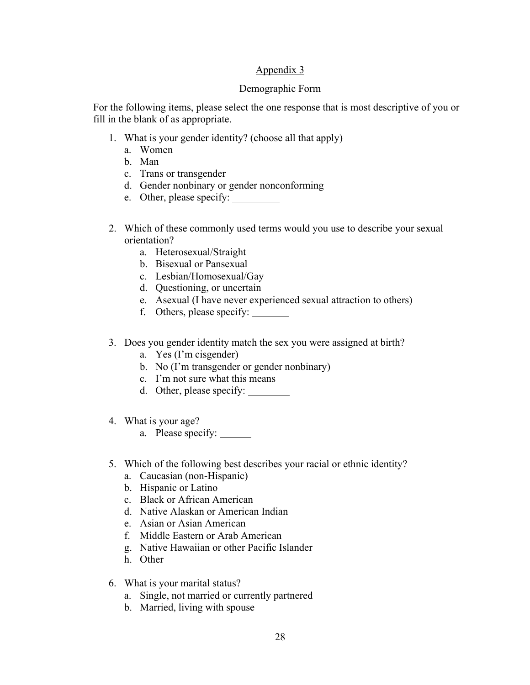## Demographic Form

For the following items, please select the one response that is most descriptive of you or fill in the blank of as appropriate.

- 1. What is your gender identity? (choose all that apply)
	- a. Women
	- b. Man
	- c. Trans or transgender
	- d. Gender nonbinary or gender nonconforming
	- e. Other, please specify:
- 2. Which of these commonly used terms would you use to describe your sexual orientation?
	- a. Heterosexual/Straight
	- b. Bisexual or Pansexual
	- c. Lesbian/Homosexual/Gay
	- d. Questioning, or uncertain
	- e. Asexual (I have never experienced sexual attraction to others)
	- f. Others, please specify:
- 3. Does you gender identity match the sex you were assigned at birth?
	- a. Yes (I'm cisgender)
	- b. No (I'm transgender or gender nonbinary)
	- c. I'm not sure what this means
	- d. Other, please specify:
- 4. What is your age?
	- a. Please specify:
- 5. Which of the following best describes your racial or ethnic identity?
	- a. Caucasian (non-Hispanic)
	- b. Hispanic or Latino
	- c. Black or African American
	- d. Native Alaskan or American Indian
	- e. Asian or Asian American
	- f. Middle Eastern or Arab American
	- g. Native Hawaiian or other Pacific Islander
	- h. Other
- 6. What is your marital status?
	- a. Single, not married or currently partnered
	- b. Married, living with spouse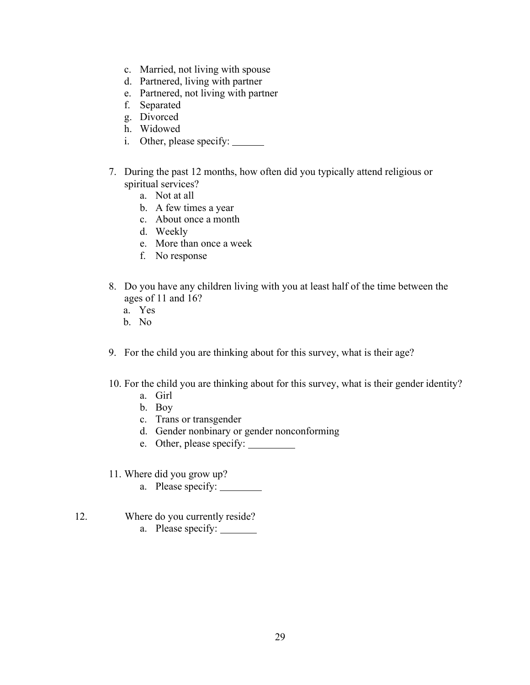- c. Married, not living with spouse
- d. Partnered, living with partner
- e. Partnered, not living with partner
- f. Separated
- g. Divorced
- h. Widowed
- i. Other, please specify:
- 7. During the past 12 months, how often did you typically attend religious or spiritual services?
	- a. Not at all
	- b. A few times a year
	- c. About once a month
	- d. Weekly
	- e. More than once a week
	- f. No response
- 8. Do you have any children living with you at least half of the time between the ages of 11 and 16?
	- a. Yes
	- b. No
- 9. For the child you are thinking about for this survey, what is their age?
- 10. For the child you are thinking about for this survey, what is their gender identity?
	- a. Girl
	- b. Boy
	- c. Trans or transgender
	- d. Gender nonbinary or gender nonconforming
	- e. Other, please specify:
- 11. Where did you grow up?
	- a. Please specify:
- 12. Where do you currently reside? a. Please specify: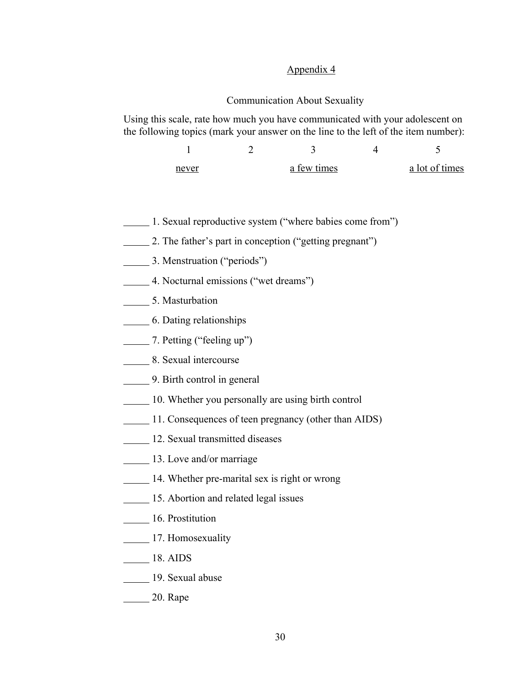#### Communication About Sexuality

Using this scale, rate how much you have communicated with your adolescent on the following topics (mark your answer on the line to the left of the item number):

| never | a few times | a lot of times |
|-------|-------------|----------------|

- 1. Sexual reproductive system ("where babies come from")
- 2. The father's part in conception ("getting pregnant")
- 3. Menstruation ("periods")
- 4. Nocturnal emissions ("wet dreams")
- 5. Masturbation
- 6. Dating relationships
- 7. Petting ("feeling up")
- **8. Sexual intercourse**
- **12.1.** 9. Birth control in general
- 10. Whether you personally are using birth control
- 11. Consequences of teen pregnancy (other than AIDS)
- 12. Sexual transmitted diseases
- **13.** Love and/or marriage
- 14. Whether pre-marital sex is right or wrong
- **15. Abortion and related legal issues**
- **16. Prostitution**
- **17. Homosexuality**
- 18. AIDS
- 19. Sexual abuse
- **20. Rape**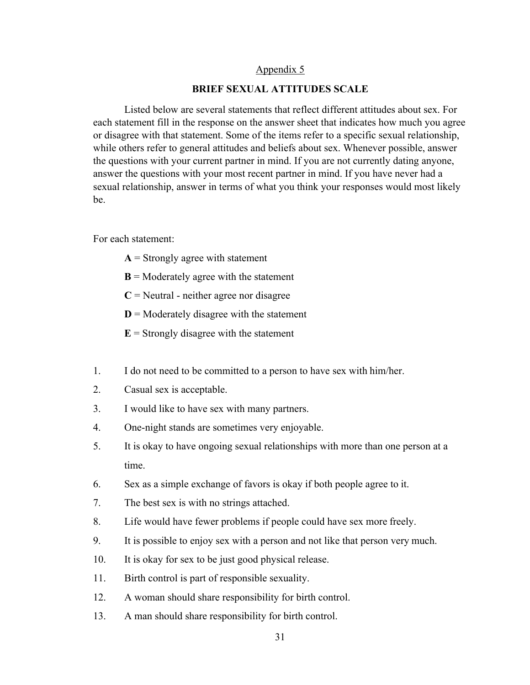#### **BRIEF SEXUAL ATTITUDES SCALE**

Listed below are several statements that reflect different attitudes about sex. For each statement fill in the response on the answer sheet that indicates how much you agree or disagree with that statement. Some of the items refer to a specific sexual relationship, while others refer to general attitudes and beliefs about sex. Whenever possible, answer the questions with your current partner in mind. If you are not currently dating anyone, answer the questions with your most recent partner in mind. If you have never had a sexual relationship, answer in terms of what you think your responses would most likely be.

For each statement:

- $A =$  Strongly agree with statement
- $B =$  Moderately agree with the statement
- $C$  = Neutral neither agree nor disagree
- $D =$  Moderately disagree with the statement
- $E =$  Strongly disagree with the statement
- 1. I do not need to be committed to a person to have sex with him/her.
- 2. Casual sex is acceptable.
- 3. I would like to have sex with many partners.
- 4. One-night stands are sometimes very enjoyable.
- 5. It is okay to have ongoing sexual relationships with more than one person at a time.
- 6. Sex as a simple exchange of favors is okay if both people agree to it.
- 7. The best sex is with no strings attached.
- 8. Life would have fewer problems if people could have sex more freely.
- 9. It is possible to enjoy sex with a person and not like that person very much.
- 10. It is okay for sex to be just good physical release.
- 11. Birth control is part of responsible sexuality.
- 12. A woman should share responsibility for birth control.
- 13. A man should share responsibility for birth control.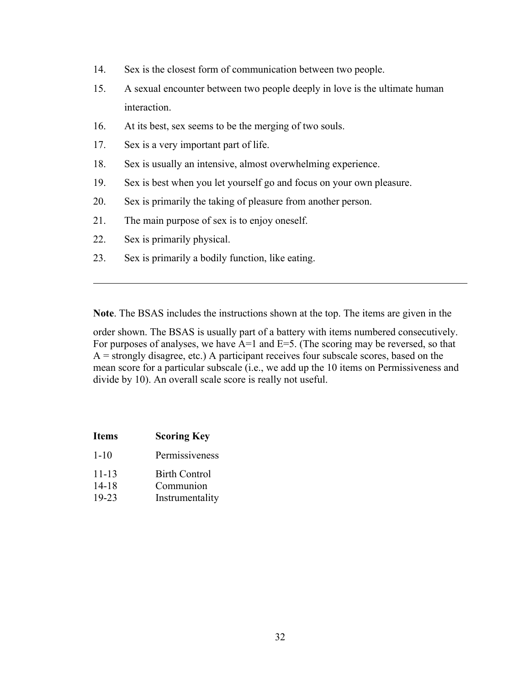- 14. Sex is the closest form of communication between two people.
- 15. A sexual encounter between two people deeply in love is the ultimate human interaction.
- 16. At its best, sex seems to be the merging of two souls.
- 17. Sex is a very important part of life.
- 18. Sex is usually an intensive, almost overwhelming experience.
- 19. Sex is best when you let yourself go and focus on your own pleasure.
- 20. Sex is primarily the taking of pleasure from another person.
- 21. The main purpose of sex is to enjoy oneself.
- 22. Sex is primarily physical.
- 23. Sex is primarily a bodily function, like eating.

**Note**. The BSAS includes the instructions shown at the top. The items are given in the

order shown. The BSAS is usually part of a battery with items numbered consecutively. For purposes of analyses, we have  $A=1$  and  $E=5$ . (The scoring may be reversed, so that  $A =$  strongly disagree, etc.) A participant receives four subscale scores, based on the mean score for a particular subscale (i.e., we add up the 10 items on Permissiveness and divide by 10). An overall scale score is really not useful.

| <b>Items</b>                    | <b>Scoring Key</b>                            |
|---------------------------------|-----------------------------------------------|
| $1 - 10$                        | Permissiveness                                |
| $11 - 13$<br>$14 - 18$<br>19-23 | Birth Control<br>Communion<br>Instrumentality |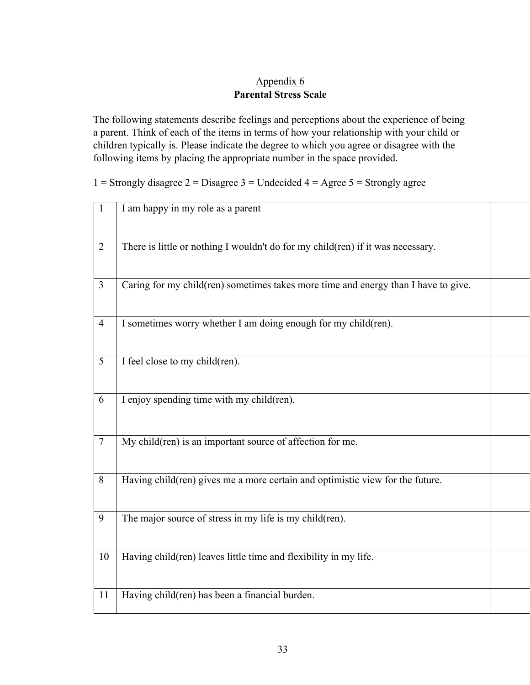## Appendix 6 **Parental Stress Scale**

The following statements describe feelings and perceptions about the experience of being a parent. Think of each of the items in terms of how your relationship with your child or children typically is. Please indicate the degree to which you agree or disagree with the following items by placing the appropriate number in the space provided.

1 = Strongly disagree 2 = Disagree 3 = Undecided  $4 = \text{Agree } 5 = \text{Strongly agree}$ 

| $\mathbf{1}$   | I am happy in my role as a parent                                                  |  |
|----------------|------------------------------------------------------------------------------------|--|
| $\overline{2}$ | There is little or nothing I wouldn't do for my child(ren) if it was necessary.    |  |
| $\overline{3}$ | Caring for my child(ren) sometimes takes more time and energy than I have to give. |  |
| $\overline{4}$ | I sometimes worry whether I am doing enough for my child(ren).                     |  |
| 5              | I feel close to my child(ren).                                                     |  |
| 6              | I enjoy spending time with my child(ren).                                          |  |
| $\overline{7}$ | $\overline{My}$ child(ren) is an important source of affection for me.             |  |
| 8              | Having child(ren) gives me a more certain and optimistic view for the future.      |  |
| 9              | The major source of stress in my life is my child(ren).                            |  |
| 10             | Having child(ren) leaves little time and flexibility in my life.                   |  |
| 11             | Having child(ren) has been a financial burden.                                     |  |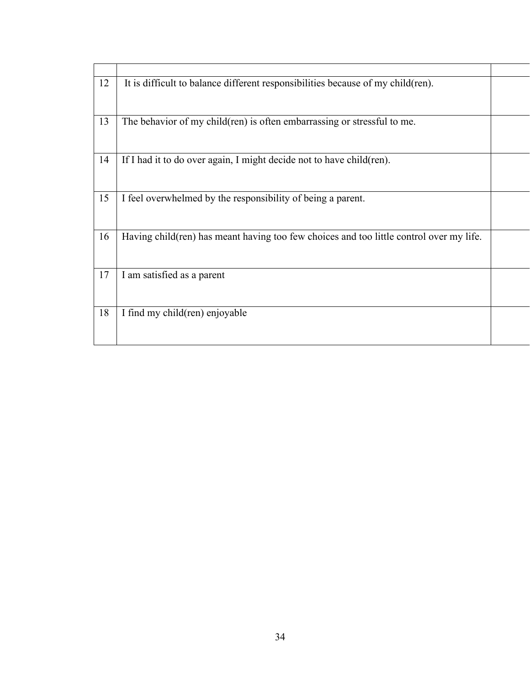| 12 | It is difficult to balance different responsibilities because of my child(ren).          |  |
|----|------------------------------------------------------------------------------------------|--|
| 13 | The behavior of my child(ren) is often embarrassing or stressful to me.                  |  |
| 14 | If I had it to do over again, I might decide not to have child(ren).                     |  |
| 15 | I feel overwhelmed by the responsibility of being a parent.                              |  |
| 16 | Having child (ren) has meant having too few choices and too little control over my life. |  |
| 17 | I am satisfied as a parent                                                               |  |
| 18 | I find my child(ren) enjoyable                                                           |  |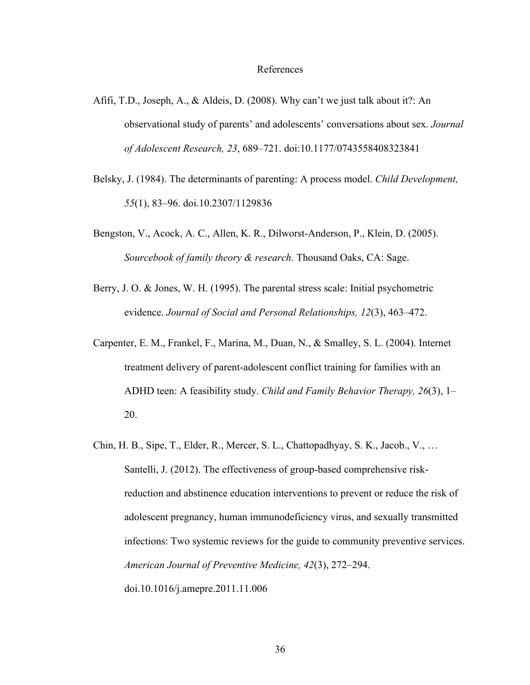#### References

- Afifi, T.D., Joseph, A., & Aldeis, D. (2008). Why can't we just talk about it?: An observational study of parents' and adolescents' conversations about sex. *Journal of Adolescent Research, 23*, 689–721. doi:10.1177/0743558408323841
- Belsky, J. (1984). The determinants of parenting: A process model. *Child Development, 55*(1), 83–96. doi.10.2307/1129836
- Bengston, V., Acock, A. C., Allen, K. R., Dilworst-Anderson, P., Klein, D. (2005). *Sourcebook of family theory & research*. Thousand Oaks, CA: Sage.
- Berry, J. O. & Jones, W. H. (1995). The parental stress scale: Initial psychometric evidence. *Journal of Social and Personal Relationships, 12*(3), 463–472.
- Carpenter, E. M., Frankel, F., Marina, M., Duan, N., & Smalley, S. L. (2004). Internet treatment delivery of parent-adolescent conflict training for families with an ADHD teen: A feasibility study. *Child and Family Behavior Therapy, 26*(3), 1– 20.
- Chin, H. B., Sipe, T., Elder, R., Mercer, S. L., Chattopadhyay, S. K., Jacob., V., … Santelli, J. (2012). The effectiveness of group-based comprehensive riskreduction and abstinence education interventions to prevent or reduce the risk of adolescent pregnancy, human immunodeficiency virus, and sexually transmitted infections: Two systemic reviews for the guide to community preventive services. *American Journal of Preventive Medicine, 42*(3), 272–294. doi.10.1016/j.amepre.2011.11.006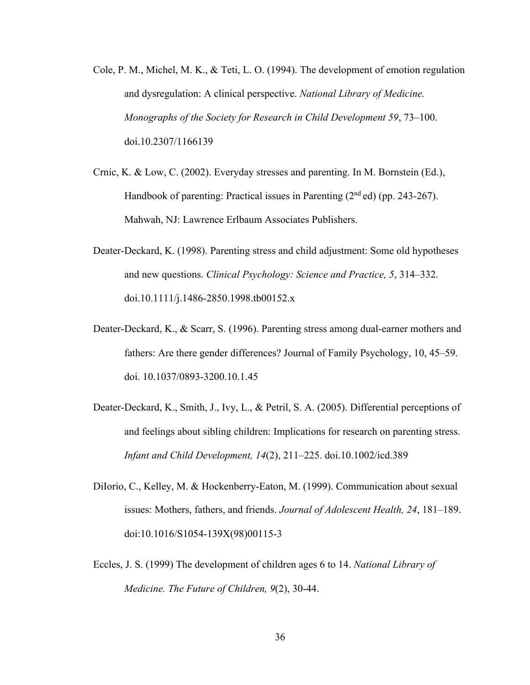- Cole, P. M., Michel, M. K., & Teti, L. O. (1994). The development of emotion regulation and dysregulation: A clinical perspective. *National Library of Medicine. Monographs of the Society for Research in Child Development 59*, 73–100. doi.10.2307/1166139
- Crnic, K. & Low, C. (2002). Everyday stresses and parenting. In M. Bornstein (Ed.), Handbook of parenting: Practical issues in Parenting  $(2<sup>nd</sup>$ ed) (pp. 243-267). Mahwah, NJ: Lawrence Erlbaum Associates Publishers.
- Deater-Deckard, K. (1998). Parenting stress and child adjustment: Some old hypotheses and new questions. *Clinical Psychology: Science and Practice, 5*, 314–332. doi.10.1111/j.1486-2850.1998.tb00152.x
- Deater-Deckard, K., & Scarr, S. (1996). Parenting stress among dual-earner mothers and fathers: Are there gender differences? Journal of Family Psychology, 10, 45–59. doi. 10.1037/0893-3200.10.1.45
- Deater-Deckard, K., Smith, J., Ivy, L., & Petril, S. A. (2005). Differential perceptions of and feelings about sibling children: Implications for research on parenting stress. *Infant and Child Development, 14*(2), 211–225. doi.10.1002/icd.389
- DiIorio, C., Kelley, M. & Hockenberry-Eaton, M. (1999). Communication about sexual issues: Mothers, fathers, and friends. *Journal of Adolescent Health, 24*, 181–189. doi:10.1016/S1054-139X(98)00115-3
- Eccles, J. S. (1999) The development of children ages 6 to 14. *National Library of Medicine. The Future of Children, 9*(2), 30-44.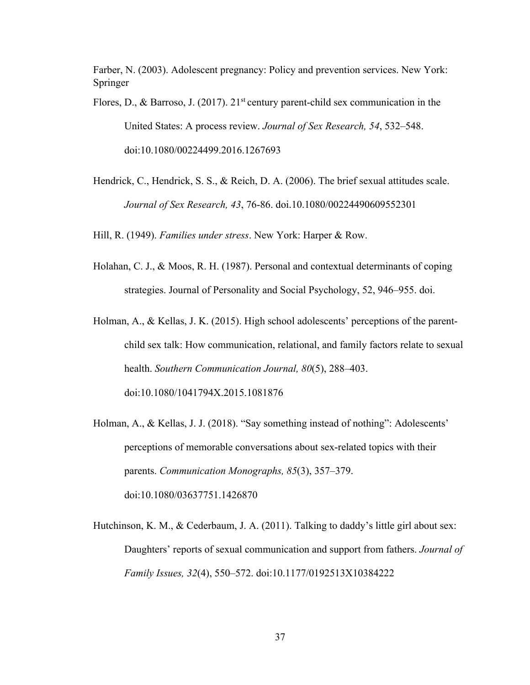Farber, N. (2003). Adolescent pregnancy: Policy and prevention services. New York: Springer

Flores, D., & Barroso, J. (2017).  $21<sup>st</sup>$  century parent-child sex communication in the United States: A process review. *Journal of Sex Research, 54*, 532–548. doi:10.1080/00224499.2016.1267693

Hendrick, C., Hendrick, S. S., & Reich, D. A. (2006). The brief sexual attitudes scale. *Journal of Sex Research, 43*, 76-86. doi.10.1080/00224490609552301

Hill, R. (1949). *Families under stress*. New York: Harper & Row.

- Holahan, C. J., & Moos, R. H. (1987). Personal and contextual determinants of coping strategies. Journal of Personality and Social Psychology, 52, 946–955. doi.
- Holman, A., & Kellas, J. K. (2015). High school adolescents' perceptions of the parentchild sex talk: How communication, relational, and family factors relate to sexual health. *Southern Communication Journal, 80*(5), 288–403. doi:10.1080/1041794X.2015.1081876
- Holman, A., & Kellas, J. J. (2018). "Say something instead of nothing": Adolescents' perceptions of memorable conversations about sex-related topics with their parents. *Communication Monographs, 85*(3), 357–379. doi:10.1080/03637751.1426870
- Hutchinson, K. M., & Cederbaum, J. A. (2011). Talking to daddy's little girl about sex: Daughters' reports of sexual communication and support from fathers. *Journal of Family Issues, 32*(4), 550–572. doi:10.1177/0192513X10384222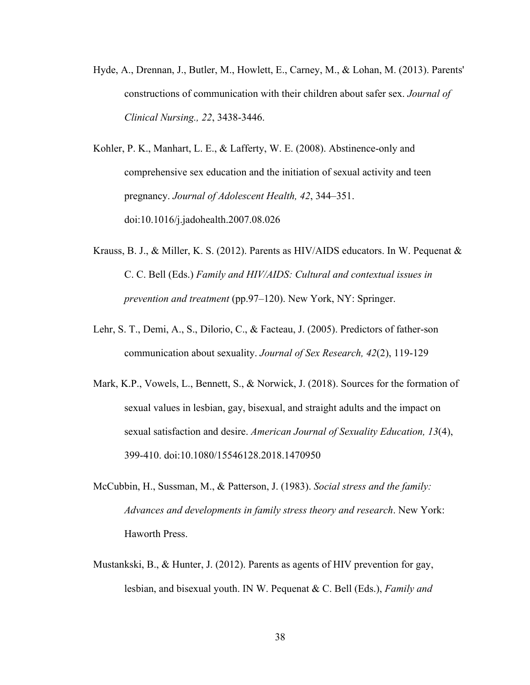Hyde, A., Drennan, J., Butler, M., Howlett, E., Carney, M., & Lohan, M. (2013). Parents' constructions of communication with their children about safer sex. *Journal of Clinical Nursing., 22*, 3438-3446.

Kohler, P. K., Manhart, L. E., & Lafferty, W. E. (2008). Abstinence-only and comprehensive sex education and the initiation of sexual activity and teen pregnancy. *Journal of Adolescent Health, 42*, 344–351. doi:10.1016/j.jadohealth.2007.08.026

- Krauss, B. J., & Miller, K. S. (2012). Parents as HIV/AIDS educators. In W. Pequenat & C. C. Bell (Eds.) *Family and HIV/AIDS: Cultural and contextual issues in prevention and treatment* (pp.97–120). New York, NY: Springer.
- Lehr, S. T., Demi, A., S., Dilorio, C., & Facteau, J. (2005). Predictors of father-son communication about sexuality. *Journal of Sex Research, 42*(2), 119-129
- Mark, K.P., Vowels, L., Bennett, S., & Norwick, J. (2018). Sources for the formation of sexual values in lesbian, gay, bisexual, and straight adults and the impact on sexual satisfaction and desire. *American Journal of Sexuality Education, 13*(4), 399-410. doi:10.1080/15546128.2018.1470950
- McCubbin, H., Sussman, M., & Patterson, J. (1983). *Social stress and the family: Advances and developments in family stress theory and research*. New York: Haworth Press.
- Mustankski, B., & Hunter, J. (2012). Parents as agents of HIV prevention for gay, lesbian, and bisexual youth. IN W. Pequenat & C. Bell (Eds.), *Family and*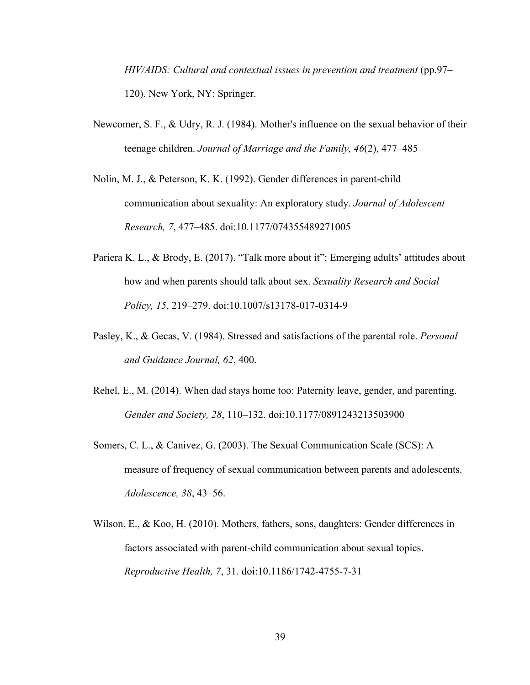*HIV/AIDS: Cultural and contextual issues in prevention and treatment (pp.97–* 120). New York, NY: Springer.

- Newcomer, S. F., & Udry, R. J. (1984). Mother's influence on the sexual behavior of their teenage children. *Journal of Marriage and the Family, 46*(2), 477–485
- Nolin, M. J., & Peterson, K. K. (1992). Gender differences in parent-child communication about sexuality: An exploratory study. *Journal of Adolescent Research, 7*, 477–485. doi:10.1177/074355489271005
- Pariera K. L., & Brody, E. (2017). "Talk more about it": Emerging adults' attitudes about how and when parents should talk about sex. *Sexuality Research and Social Policy, 15*, 219–279. doi:10.1007/s13178-017-0314-9
- Pasley, K., & Gecas, V. (1984). Stressed and satisfactions of the parental role. *Personal and Guidance Journal, 62*, 400.
- Rehel, E., M. (2014). When dad stays home too: Paternity leave, gender, and parenting. *Gender and Society, 28*, 110–132. doi:10.1177/0891243213503900
- Somers, C. L., & Canivez, G. (2003). The Sexual Communication Scale (SCS): A measure of frequency of sexual communication between parents and adolescents. *Adolescence, 38*, 43–56.
- Wilson, E., & Koo, H. (2010). Mothers, fathers, sons, daughters: Gender differences in factors associated with parent-child communication about sexual topics. *Reproductive Health, 7*, 31. doi:10.1186/1742-4755-7-31